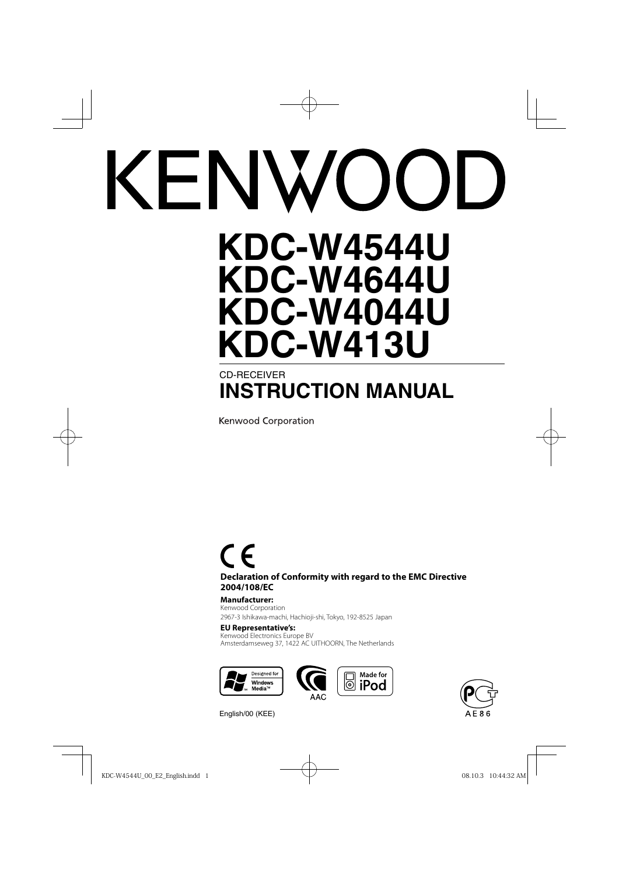# **KDC-W4544U KDC-W4644U**

# **KDC-W4044U KDC-W413U** CD-RECEIVER

# **INSTRUCTION MANUAL**

**Kenwood Corporation** 

# $\epsilon$

**Declaration of Conformity with regard to the EMC Directive 2004/108/EC**

#### **Manufacturer:**

Kenwood Corporation 2967-3 Ishikawa-machi, Hachioji-shi, Tokyo, 192-8525 Japan

#### **EU Representative's:**

Kenwood Electronics Europe BV Amsterdamseweg 37, 1422 AC UITHOORN, The Netherlands







English/00 (KEE)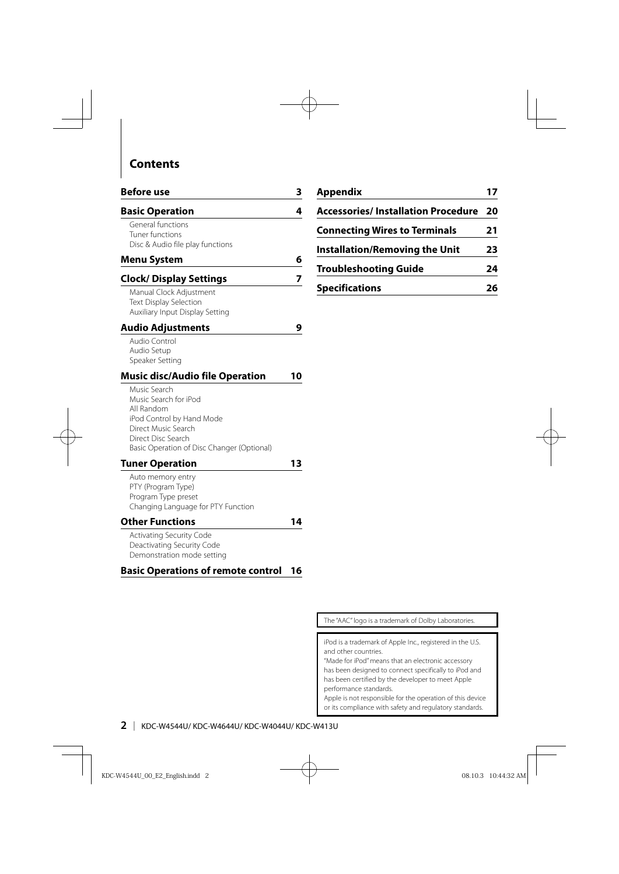# **Contents**

| <b>Before use</b>                                                                                                                                                           | 3  |
|-----------------------------------------------------------------------------------------------------------------------------------------------------------------------------|----|
| <b>Basic Operation</b>                                                                                                                                                      | 4  |
| General functions<br>Tuner functions<br>Disc & Audio file play functions                                                                                                    |    |
| <b>Menu System</b>                                                                                                                                                          | 6  |
| <b>Clock/ Display Settings</b>                                                                                                                                              | 7  |
| Manual Clock Adjustment<br>Text Display Selection<br>Auxiliary Input Display Setting                                                                                        |    |
| Audio Adjustments                                                                                                                                                           | 9  |
| Audio Control<br>Audio Setup<br>Speaker Setting                                                                                                                             |    |
| <b>Music disc/Audio file Operation</b>                                                                                                                                      | 10 |
| Music Search<br>Music Search for iPod<br>All Random<br>iPod Control by Hand Mode<br>Direct Music Search<br>Direct Disc Search<br>Basic Operation of Disc Changer (Optional) |    |
| <b>Tuner Operation</b>                                                                                                                                                      | 13 |
| Auto memory entry<br>PTY (Program Type)<br>Program Type preset<br>Changing Language for PTY Function                                                                        |    |
| <b>Other Functions</b>                                                                                                                                                      | 14 |
| Activating Security Code<br>Deactivating Security Code<br>Demonstration mode setting                                                                                        |    |
| <b>Basic Operations of remote control</b>                                                                                                                                   | 16 |

| Appendix                                  | 17 |
|-------------------------------------------|----|
| <b>Accessories/Installation Procedure</b> | 20 |
| <b>Connecting Wires to Terminals</b>      | 21 |
| <b>Installation/Removing the Unit</b>     | 23 |
| <b>Troubleshooting Guide</b>              | 24 |
| <b>Specifications</b>                     | 26 |

The "AAC" logo is a trademark of Dolby Laboratories.

iPod is a trademark of Apple Inc., registered in the U.S. and other countries.

"Made for iPod" means that an electronic accessory has been designed to connect specifically to iPod and has been certified by the developer to meet Apple performance standards.

Apple is not responsible for the operation of this device or its compliance with safety and regulatory standards.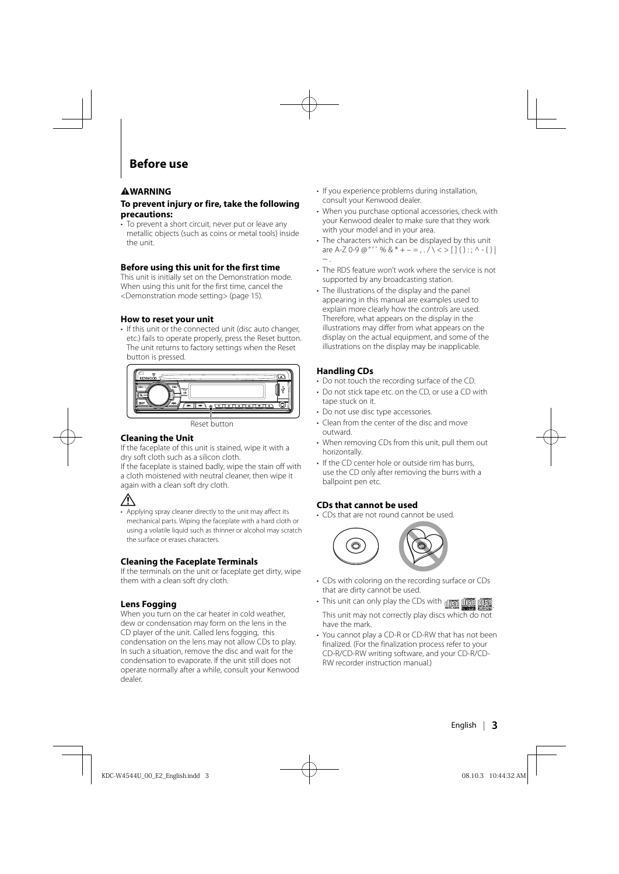# **Before use**

#### 2**WARNING**

#### **To prevent injury or fire, take the following precautions:**

• To prevent a short circuit, never put or leave any metallic objects (such as coins or metal tools) inside the unit.

#### **Before using this unit for the first time**

This unit is initially set on the Demonstration mode. When using this unit for the first time, cancel the <Demonstration mode setting> (page 15).

#### **How to reset your unit**

• If this unit or the connected unit (disc auto changer, etc.) fails to operate properly, press the Reset button. The unit returns to factory settings when the Reset button is pressed.



Reset button

#### **Cleaning the Unit**

If the faceplate of this unit is stained, wipe it with a dry soft cloth such as a silicon cloth.

If the faceplate is stained badly, wipe the stain off with a cloth moistened with neutral cleaner, then wipe it again with a clean soft dry cloth.

# ∕!\

• Applying spray cleaner directly to the unit may affect its mechanical parts. Wiping the faceplate with a hard cloth or using a volatile liquid such as thinner or alcohol may scratch the surface or erases characters.

#### **Cleaning the Faceplate Terminals**

If the terminals on the unit or faceplate get dirty, wipe them with a clean soft dry cloth.

#### **Lens Fogging**

When you turn on the car heater in cold weather. dew or condensation may form on the lens in the CD player of the unit. Called lens fogging, this condensation on the lens may not allow CDs to play. In such a situation, remove the disc and wait for the condensation to evaporate. If the unit still does not operate normally after a while, consult your Kenwood dealer.

- If you experience problems during installation, consult your Kenwood dealer.
- When you purchase optional accessories, check with your Kenwood dealer to make sure that they work with your model and in your area.
- The characters which can be displayed by this unit are A-Z 0-9 @ "' %  $8 * + - =$   $( \sqrt{5} > 1) ( ) \cdot \sqrt{2} + 1$  $\sim$  .
- The RDS feature won't work where the service is not supported by any broadcasting station.
- The illustrations of the display and the panel appearing in this manual are examples used to explain more clearly how the controls are used. Therefore, what appears on the display in the illustrations may differ from what appears on the display on the actual equipment, and some of the illustrations on the display may be inapplicable.

#### **Handling CDs**

- Do not touch the recording surface of the CD.
- Do not stick tape etc. on the CD, or use a CD with tape stuck on it.
- Do not use disc type accessories.
- Clean from the center of the disc and move outward.
- When removing CDs from this unit, pull them out horizontally.
- If the CD center hole or outside rim has burrs, use the CD only after removing the burrs with a ballpoint pen etc.

#### **CDs that cannot be used**

• CDs that are not round cannot be used.



- CDs with coloring on the recording surface or CDs that are dirty cannot be used.
- This unit can only play the CDs with **n** 情報 dist This unit may not correctly play discs which do not
- have the mark. • You cannot play a CD-R or CD-RW that has not been finalized. (For the finalization process refer to your CD-R/CD-RW writing software, and your CD-R/CD-RW recorder instruction manual.)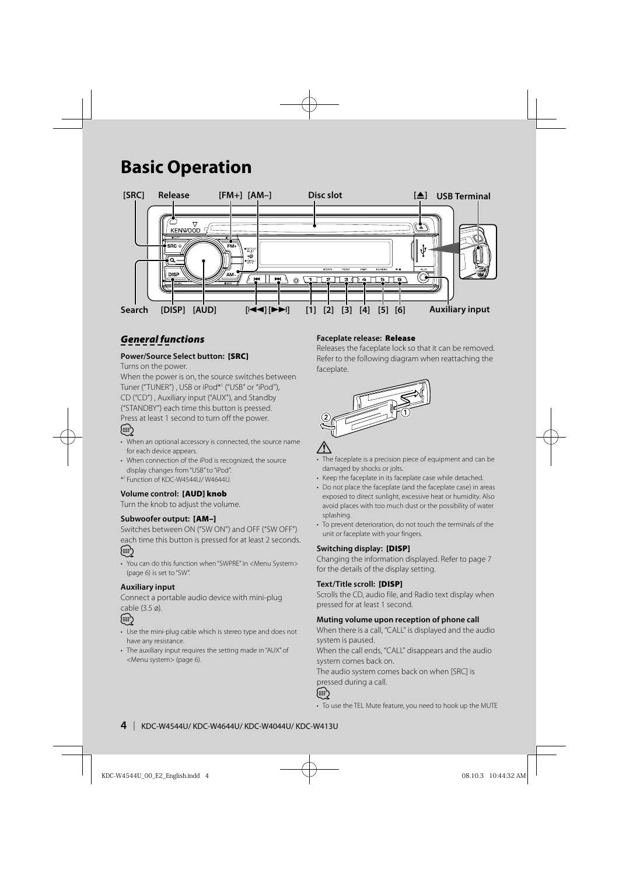# **Basic Operation**



# *General functions*

#### **Power/Source Select button: [SRC]**

Turns on the power.

When the power is on, the source switches between Tuner ("TUNER") , USB or iPod\*1 ("USB" or "iPod"), CD ("CD") , Auxiliary input ("AUX"), and Standby ("STANDBY") each time this button is pressed.

Press at least 1 second to turn off the power.

- (,,,
- When an optional accessory is connected, the source name for each device appears.
- When connection of the iPod is recognized, the source display changes from "USB" to "iPod".
- \*1 Function of KDC-W4544U/ W4644U.

#### **Volume control: [AUD] knob**

Turn the knob to adjust the volume.

#### **Subwoofer output: [AM–]**

Switches between ON ("SW ON") and OFF ("SW OFF") each time this button is pressed for at least 2 seconds. {≡≡}

• You can do this function when "SWPRE" in <Menu System> (page 6) is set to "SW".

#### **Auxiliary input**

Connect a portable audio device with mini-plug cable (3.5 ø).



- Use the mini-plug cable which is stereo type and does not have any resistance.
- The auxiliary input requires the setting made in "AUX" of <Menu system> (page 6).

#### **Faceplate release: Release**

Releases the faceplate lock so that it can be removed. Refer to the following diagram when reattaching the faceplate.





- The faceplate is a precision piece of equipment and can be damaged by shocks or jolts.
- Keep the faceplate in its faceplate case while detached.
- Do not place the faceplate (and the faceplate case) in areas exposed to direct sunlight, excessive heat or humidity. Also avoid places with too much dust or the possibility of water splashing.
- To prevent deterioration, do not touch the terminals of the unit or faceplate with your fingers.

#### **Switching display: [DISP]**

Changing the information displayed. Refer to page 7 for the details of the display setting.

#### **Text/Title scroll: [DISP]**

Scrolls the CD, audio file, and Radio text display when pressed for at least 1 second.

#### **Muting volume upon reception of phone call**

When there is a call, "CALL" is displayed and the audio system is paused.

When the call ends, "CALL" disappears and the audio system comes back on.

The audio system comes back on when [SRC] is pressed during a call.



• To use the TEL Mute feature, you need to hook up the MUTE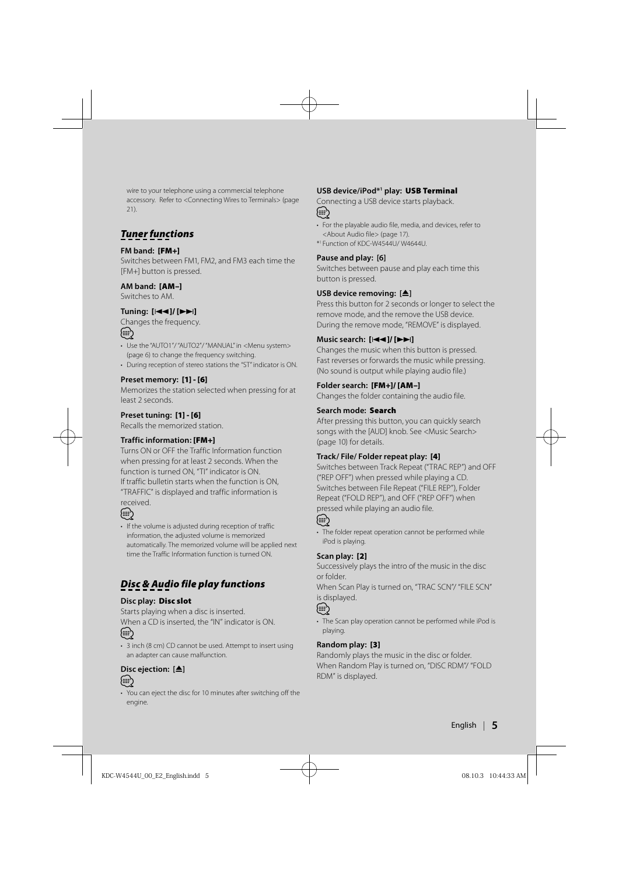wire to your telephone using a commercial telephone accessory. Refer to <Connecting Wires to Terminals> (page  $21$ 

# *Tuner functions*

#### **FM band: [FM+]**

Switches between FM1, FM2, and FM3 each time the [FM+] button is pressed.

#### **AM band: [AM–]**

Switches to AM.

#### **Tuning: [**4**]/ [**¢**]**

Changes the frequency.

# ∕≕}

- Use the "AUTO1"/ "AUTO2"/ "MANUAL" in <Menu system> (page 6) to change the frequency switching.
- During reception of stereo stations the "ST" indicator is ON.

#### **Preset memory: [1] - [6]**

Memorizes the station selected when pressing for at least 2 seconds.

#### **Preset tuning: [1] - [6]**

Recalls the memorized station.

#### **Traffic information : [FM+]**

Turns ON or OFF the Traffic Information function when pressing for at least 2 seconds. When the function is turned ON, "TI" indicator is ON. If traffic bulletin starts when the function is ON, "TRAFFIC" is displayed and traffic information is received.

#### ⊕}

• If the volume is adjusted during reception of traffic information, the adjusted volume is memorized automatically. The memorized volume will be applied next time the Traffic Information function is turned ON.

# *Disc & Audio file play functions*

#### **Disc play: Disc slot**

Starts playing when a disc is inserted. When a CD is inserted, the "IN" indicator is ON.

# ⁄⊞े

• 3 inch (8 cm) CD cannot be used. Attempt to insert using an adapter can cause malfunction.

# **Disc ejection: [**0**]**

- *⊱*≘}
- You can eject the disc for 10 minutes after switching off the engine.

#### **USB device/iPod\*1 play: USB Terminal**

Connecting a USB device starts playback. (≡)

- For the playable audio file, media, and devices, refer to <About Audio file> (page 17).
- \*1 Function of KDC-W4544U/ W4644U.

#### **Pause and play: [6]**

Switches between pause and play each time this button is pressed.

#### **USB device removing:**  $[4]$

Press this button for 2 seconds or longer to select the remove mode, and the remove the USB device. During the remove mode, "REMOVE" is displayed.

#### **Music search: [**4**]/ [**¢**]**

Changes the music when this button is pressed. Fast reverses or forwards the music while pressing. (No sound is output while playing audio file.)

#### **Folder search: [FM+]/ [AM–]**

Changes the folder containing the audio file.

#### **Search mode: Search**

After pressing this button, you can quickly search songs with the [AUD] knob. See <Music Search> (page 10) for details.

#### **Track/ File/ Folder repeat play: [4]**

Switches between Track Repeat ("TRAC REP") and OFF ("REP OFF") when pressed while playing a CD. Switches between File Repeat ("FILE REP"), Folder Repeat ("FOLD REP"), and OFF ("REP OFF") when pressed while playing an audio file.



• The folder repeat operation cannot be performed while iPod is playing.

#### **Scan play: [2]**

Successively plays the intro of the music in the disc or folder.

When Scan Play is turned on, "TRAC SCN"/ "FILE SCN" is displayed.



• The Scan play operation cannot be performed while iPod is playing.

#### **Random play: [3]**

Randomly plays the music in the disc or folder. When Random Play is turned on, "DISC RDM"/ "FOLD RDM" is displayed.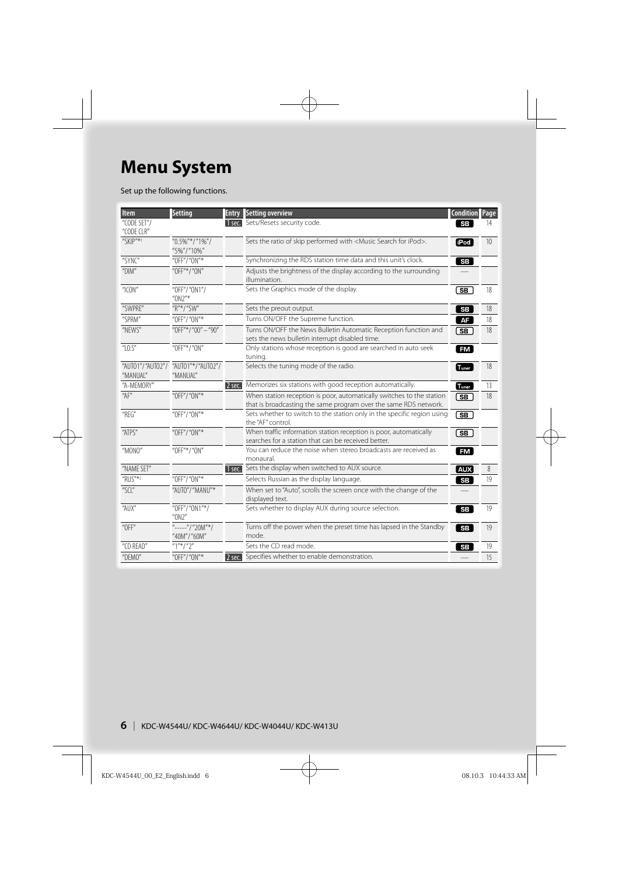# **Menu System**

Set up the following functions.

| <b>Item</b>                                         | <b>Setting</b>                                  | <b>Entry</b> | <b>Setting overview</b>                                                                                                                   | <b>Condition Page</b>  |    |
|-----------------------------------------------------|-------------------------------------------------|--------------|-------------------------------------------------------------------------------------------------------------------------------------------|------------------------|----|
| "CODE SET"/<br>"CODE CLR"                           |                                                 |              | 1 sec. Sets/Resets security code.                                                                                                         | <b>SB</b>              | 14 |
| "SKIP"*1                                            | " $0.5\%$ "*/"1%"/<br>"5%"/"10%"                |              | Sets the ratio of skip performed with <music for="" ipod="" search="">.</music>                                                           | <b>iPod</b>            | 10 |
| "SYNC"                                              | "OFF"/"ON"*                                     |              | Synchronizing the RDS station time data and this unit's clock.                                                                            | $_{\rm SB}$            |    |
| $^{\prime\prime}$ DIM $^{\prime\prime}$             | "OFF"*/"ON"                                     |              | Adjusts the brightness of the display according to the surrounding<br>illumination.                                                       |                        |    |
| " $ICON"$                                           | "OFF"/"ON1"/<br>$^{\prime\prime}$ ON2"*         |              | Sets the Graphics mode of the display.                                                                                                    | (SB                    | 18 |
| "SWPRE"                                             | "R"*/"SW"                                       |              | Sets the preout output.                                                                                                                   | $_{\rm SB}$            | 18 |
| "SPRM"                                              | "OFF"/"ON"*                                     |              | Turns ON/OFF the Supreme function.                                                                                                        | AF                     | 18 |
| "NEWS"                                              | "OFF"*/"00" - "90"                              |              | Turns ON/OFF the News Bulletin Automatic Reception function and<br>sets the news bulletin interrupt disabled time.                        | (SB                    | 18 |
| " $LO.S$ "                                          | "OFF"*/"ON"                                     |              | Only stations whose reception is good are searched in auto seek<br>tuning.                                                                | <b>FM</b>              |    |
| "MANUAL"                                            | "AUTO1"/"AUTO2"/ "AUTO1"*/"AUTO2"/<br>"MANUAL"  |              | Selects the tuning mode of the radio.                                                                                                     | Tuner                  | 18 |
| "A-MEMORY"                                          |                                                 | $2$ sec.     | Memorizes six stations with good reception automatically.                                                                                 | T <sub>uner</sub>      | 13 |
| "AF"                                                | "OFF"/"ON"*                                     |              | When station reception is poor, automatically switches to the station<br>that is broadcasting the same program over the same RDS network. | ( SB                   | 18 |
| $"$ REG"                                            | "OFF"/"ON"*                                     |              | Sets whether to switch to the station only in the specific region using<br>the "AF" control.                                              | <u>डि </u>             |    |
| "ATPS"                                              | "OFF"/"ON"*                                     |              | When traffic information station reception is poor, automatically<br>searches for a station that can be received better.                  | ொ                      |    |
| "MONO"                                              | "OFF"*/"ON"                                     |              | You can reduce the noise when stereo broadcasts are received as<br>monaural.                                                              | FM                     |    |
| "NAME SET"                                          |                                                 |              | 1 sec. Sets the display when switched to AUX source.                                                                                      | AUX                    | 8  |
| "RUS"*2                                             | "OFF"/"ON"*                                     |              | Selects Russian as the display language.                                                                                                  | SB                     | 19 |
| " $\left \left \int_{a}^{b} f(x) \right  \right $ " | "AUTO"/"MANU"*                                  |              | When set to "Auto", scrolls the screen once with the change of the<br>displayed text.                                                     |                        |    |
| "AUX"                                               | "OFF"/"ON1"*/<br>$^{\prime\prime}$ ON2"         |              | Sets whether to display AUX during source selection.                                                                                      | SB                     | 19 |
| $^{\prime\prime}$ OFF $^{\prime\prime}$             | $^{\prime\prime}$ -----"/"20M"*/<br>"40M"/"60M" |              | Turns off the power when the preset time has lapsed in the Standby<br>mode.                                                               | $\overline{\text{SB}}$ | 19 |
| "CD READ"                                           | $"1"*/"2"$                                      |              | Sets the CD read mode.                                                                                                                    | <b>SB</b>              | 19 |
| "DEMO"                                              | "OFF"/"ON"*                                     | 2 sec.       | Specifies whether to enable demonstration.                                                                                                |                        | 15 |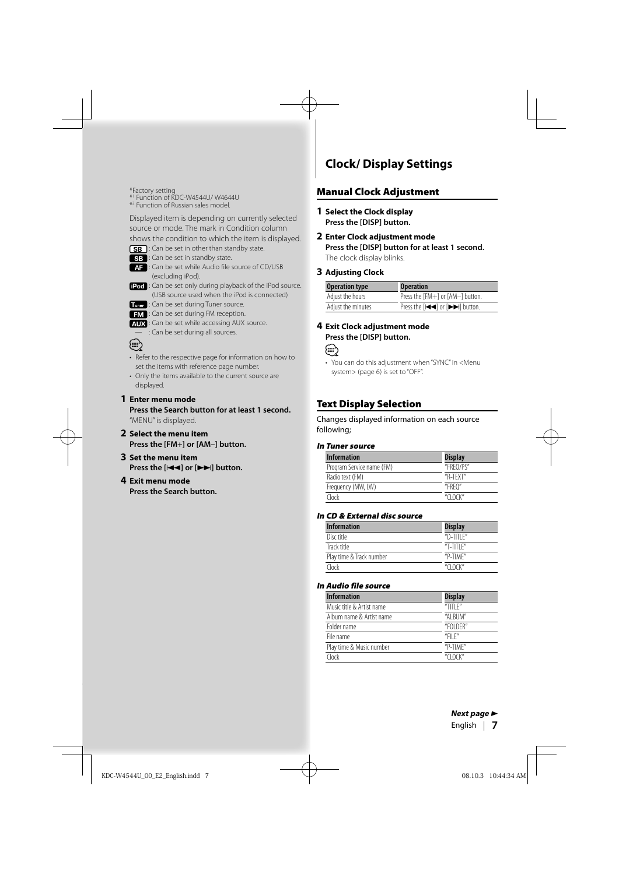\*Factory setting \*1 Function of KDC-W4544U/ W4644U

\*2 Function of Russian sales model.

Displayed item is depending on currently selected source or mode. The mark in Condition column

shows the condition to which the item is displayed.

- **SB**: Can be set in other than standby state.
- SB : Can be set in standby state.

**AF** : Can be set while Audio file source of CD/USB (excluding iPod).

- fPod : Can be set only during playback of the iPod source. (USB source used when the iPod is connected)
- **Transpl**: Can be set during Tuner source.
- **EM** : Can be set during FM reception.
- : Can be set while accessing AUX source.
	- : Can be set during all sources.
- **⊕**
- Refer to the respective page for information on how to set the items with reference page number.
- Only the items available to the current source are displayed.

#### **1 Enter menu mode**

**Press the Search button for at least 1 second.** "MENU" is displayed.

- **2 Select the menu item Press the [FM+] or [AM–] button.**
- **3 Set the menu item Press the [**4**] or [**¢**] button.**

#### **4 Exit menu mode**

**Press the Search button.**

# **Clock/ Display Settings**

#### **Manual Clock Adjustment**

- **1 Select the Clock display Press the [DISP] button.**
- **2 Enter Clock adjustment mode Press the [DISP] button for at least 1 second.** The clock display blinks.

**3 Adjusting Clock**

| <b>Operation type</b> | <b>Operation</b>                    |
|-----------------------|-------------------------------------|
| Adjust the hours      | Press the [FM+] or [AM-] button.    |
| Adjust the minutes    | Press the [IIII] or [IIIII] button. |

#### **4 Exit Clock adjustment mode Press the [DISP] button.**

#### (∰

• You can do this adjustment when "SYNC" in <Menu system> (page 6) is set to "OFF".

#### **Text Display Selection**

Changes displayed information on each source following;

#### **In Tuner source**

| <b>Information</b>        | <b>Display</b>    |
|---------------------------|-------------------|
| Program Service name (FM) | "FRFO/PS"         |
| Radio text (FM)           | "R-TFXT"          |
| Frequency (MW, LW)        | "FRFO"            |
| Clock                     | $''$ $C1$ $OCK''$ |

#### **In CD & External disc source**

| <b>Information</b>       | <b>Display</b>    |
|--------------------------|-------------------|
| Disc title               | $n$ D-TITI F $n$  |
| Track title              | $T-TITIF''$       |
| Play time & Track number | "P-TIMF"          |
| Clock                    | $''$ $C1$ $OCK''$ |

#### **In Audio file source**

| <b>Information</b>        | <b>Display</b> |
|---------------------------|----------------|
| Music title & Artist name | "TITI $F$ "    |
| Album name & Artist name  | "AI BUM"       |
| Folder name               | "FOI DFR"      |
| File name                 | "FII $F$ "     |
| Play time & Music number  | "P-TIMF"       |
| Clock                     | " $C10CK$ "    |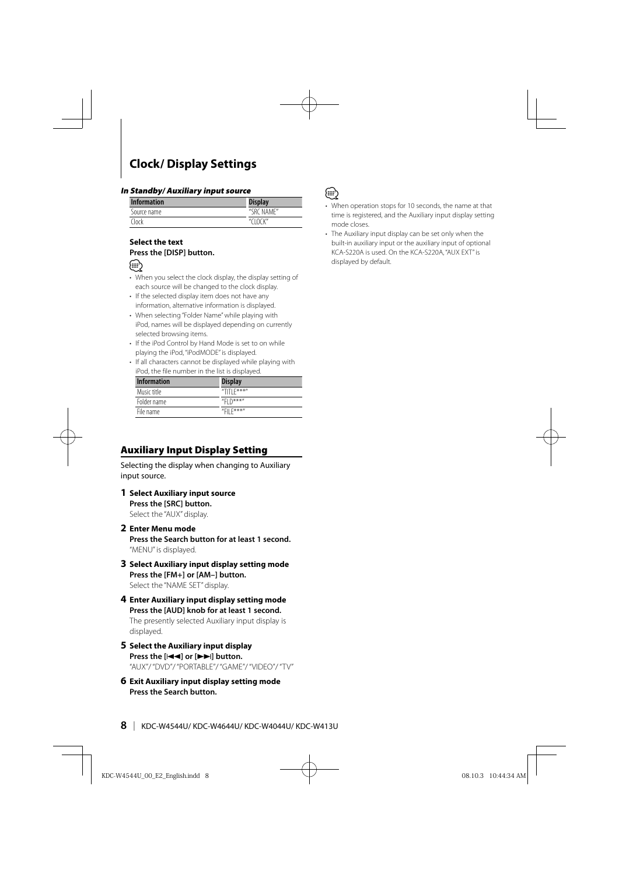# **Clock/ Display Settings**

#### **In Standby/ Auxiliary input source**

| <b>Information</b> | <b>Display</b> |
|--------------------|----------------|
| Source name        | "SRC NAMF"     |
| "lnrk              | $''$ $C10K''$  |

#### **Select the text Press the [DISP] button.**



- When you select the clock display, the display setting of each source will be changed to the clock display.
- If the selected display item does not have any information, alternative information is displayed.
- When selecting "Folder Name" while playing with iPod, names will be displayed depending on currently selected browsing items.
- If the iPod Control by Hand Mode is set to on while playing the iPod, "iPodMODE" is displayed.
- If all characters cannot be displayed while playing with iPod, the file number in the list is displayed.

| <b>Information</b> | <b>Display</b>     |
|--------------------|--------------------|
| Music title        | "TITI $F$ ***"     |
| Folder name        | "FI $\bigcap$ ***" |
| File name          | "FII $F$ ***"      |

#### **Auxiliary Input Display Setting**

Selecting the display when changing to Auxiliary input source.

**1 Select Auxiliary input source Press the [SRC] button.**

Select the "AUX" display.

**2 Enter Menu mode**

**Press the Search button for at least 1 second.** "MENU" is displayed.

- **3 Select Auxiliary input display setting mode Press the [FM+] or [AM–] button.** Select the "NAME SET" display.
- **4 Enter Auxiliary input display setting mode Press the [AUD] knob for at least 1 second.** The presently selected Auxiliary input display is

displayed.

- **5 Select the Auxiliary input display Press the [**4**] or [**¢**] button.** "AUX"/ "DVD"/ "PORTABLE"/ "GAME"/ "VIDEO"/ "TV"
- **6 Exit Auxiliary input display setting mode Press the Search button.**



- When operation stops for 10 seconds, the name at that time is registered, and the Auxiliary input display setting mode closes.
- The Auxiliary input display can be set only when the built-in auxiliary input or the auxiliary input of optional KCA-S220A is used. On the KCA-S220A, "AUX EXT" is displayed by default.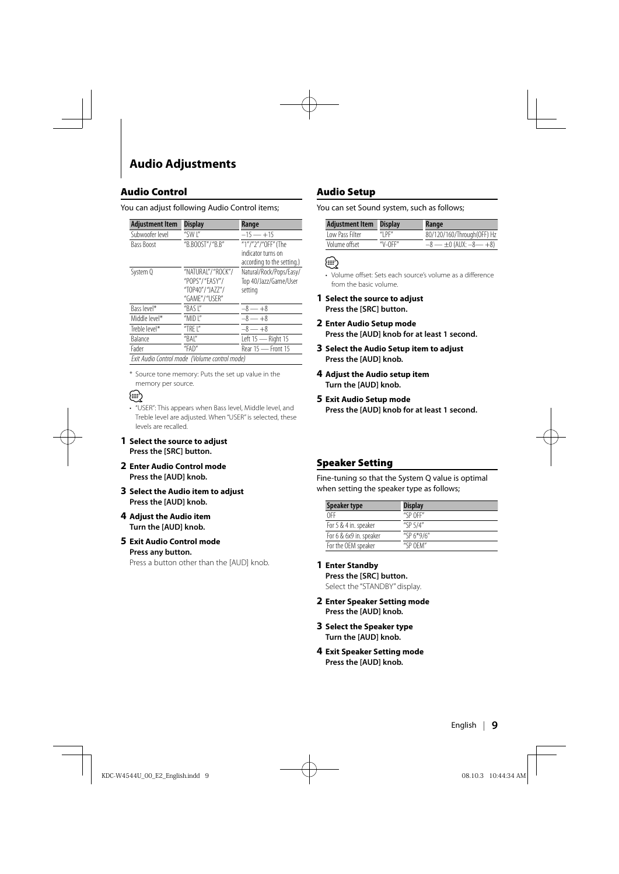# **Audio Adjustments**

#### **Audio Control**

#### You can adjust following Audio Control items;

| <b>Adjustment Item</b> | <b>Display</b>                                | Range                      |
|------------------------|-----------------------------------------------|----------------------------|
| Subwoofer level        | "SWI"                                         | $-15 - +15$                |
| <b>Bass Boost</b>      | "B.BOOST"/"B.B"                               | "1"/"2"/"0FF" (The         |
|                        |                                               | indicator turns on         |
|                        |                                               | according to the setting.) |
| System Q               | "NATURAL"/"ROCK"/                             | Natural/Rock/Pops/Easy/    |
|                        | "POPS"/"EASY"/                                | Top 40/Jazz/Game/User      |
|                        | "TOP40"/"JAZZ"/                               | setting                    |
|                        | "GAME"/"USER"                                 |                            |
| Bass level*            | "BASI"                                        | $-8 - +8$                  |
| Middle level*          | "MID $\mathsf{I}$ "                           | $-8 - +8$                  |
| Treble level*          | "TRF $\mid$ "                                 | $-8 - +8$                  |
| Balance                | "BAI"                                         | Left 15 - Right 15         |
| Fader                  | "FAD"                                         | Rear 15 - Front 15         |
|                        | Exit Audio Control mode (Volume control mode) |                            |

\* Source tone memory: Puts the set up value in the memory per source.

# י⊞}

- "USER": This appears when Bass level, Middle level, and Treble level are adjusted. When "USER" is selected, these levels are recalled.
- **1 Select the source to adjust Press the [SRC] button.**
- **2 Enter Audio Control mode Press the [AUD] knob.**
- **3 Select the Audio item to adjust Press the [AUD] knob.**
- **4 Adjust the Audio item Turn the [AUD] knob.**
- **5 Exit Audio Control mode Press any button.**

Press a button other than the [AUD] knob.

#### **Audio Setup**

You can set Sound system, such as follows;

| <b>Adjustment Item</b> | <b>Display</b> | Range                              |
|------------------------|----------------|------------------------------------|
| Low Pass Filter        | "I $PF"$       | 80/120/160/Through(OFF) Hz         |
| Volume offset          | $''V$ -OFF"    | $-8$ — $\pm 0$ (AUX: $-8$ — $+8$ ) |

#### ∕≕

• Volume offset: Sets each source's volume as a difference from the basic volume.

- **1 Select the source to adjust Press the [SRC] button.**
- **2 Enter Audio Setup mode Press the [AUD] knob for at least 1 second.**
- **3 Select the Audio Setup item to adjust Press the [AUD] knob.**
- **4 Adjust the Audio setup item Turn the [AUD] knob.**
- **5 Exit Audio Setup mode Press the [AUD] knob for at least 1 second.**

#### **Speaker Setting**

Fine-tuning so that the System Q value is optimal when setting the speaker type as follows;

| Speaker type            | <b>Display</b> |
|-------------------------|----------------|
| 0FF                     | "SP OFF"       |
| For 5 & 4 in. speaker   | "SP $5/4$ "    |
| For 6 & 6x9 in. speaker | "SP $6*9/6$ "  |
| For the OEM speaker     | "SP OFM"       |

**1 Enter Standby**

**Press the [SRC] button.** Select the "STANDBY" display.

- **2 Enter Speaker Setting mode Press the [AUD] knob.**
- **3 Select the Speaker type Turn the [AUD] knob.**
- **4 Exit Speaker Setting mode Press the [AUD] knob.**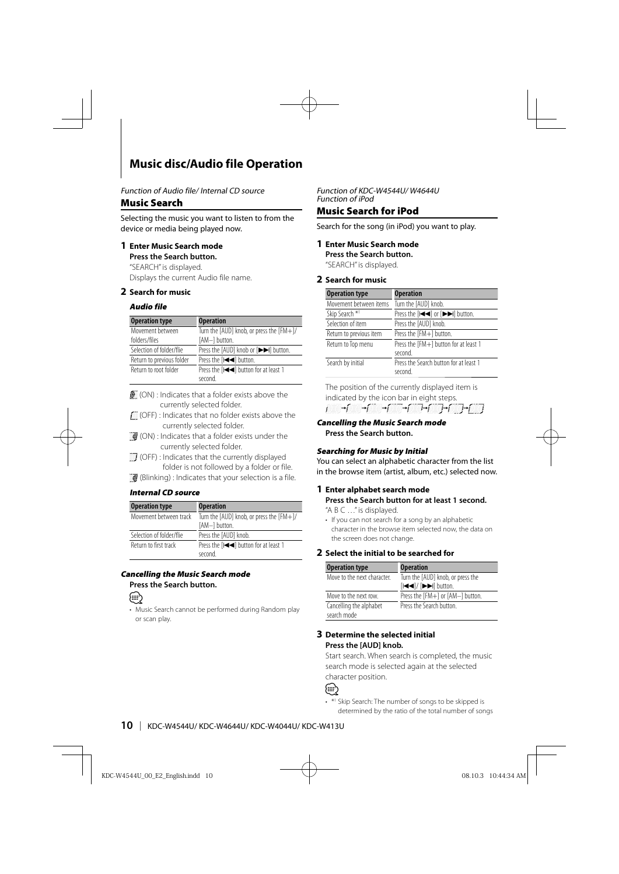# **Music disc/Audio file Operation**

Function of Audio file/ Internal CD source

#### **Music Search**

Selecting the music you want to listen to from the device or media being played now.

#### **1 Enter Music Search mode**

**Press the Search button.**

"SEARCH" is displayed. Displays the current Audio file name.

#### **2 Search for music**

#### **Audio file**

| <b>Operation type</b>     | <b>Operation</b>                             |
|---------------------------|----------------------------------------------|
| Movement between          | Turn the [AUD] knob, or press the [FM+]/     |
| folders/files             | [AM-] button.                                |
| Selection of folder/flie  | Press the [AUD] knob or [▶▶] button.         |
| Return to previous folder | Press the [IIII] button.                     |
| Return to root folder     | Press the [IIIIIIIIII] button for at least 1 |
|                           | second.                                      |

 (ON) : Indicates that a folder exists above the currently selected folder.

 (OFF) : Indicates that no folder exists above the currently selected folder.

- $\blacksquare$  (ON) : Indicates that a folder exists under the currently selected folder.
- $\Box$  (OFF) : Indicates that the currently displayed folder is not followed by a folder or file.

 $\blacksquare$  (Blinking) : Indicates that your selection is a file.

#### **Internal CD source**

| <b>Operation type</b>    | <b>Operation</b>                                                 |  |
|--------------------------|------------------------------------------------------------------|--|
| Movement between track   | Turn the $[AUD]$ knob, or press the $[FM+]/$                     |  |
|                          | [AM-] button.                                                    |  |
| Selection of folder/flie | Press the [AUD] knob.                                            |  |
| Return to first track    | Press the [I <i 1<="" at="" button="" for="" least="" td=""></i> |  |
|                          | second.                                                          |  |

#### **Cancelling the Music Search mode Press the Search button.**



• Music Search cannot be performed during Random play or scan play.

Function of KDC-W4544U/ W4644U Function of iPod

#### **Music Search for iPod**

Search for the song (in iPod) you want to play.

#### **1 Enter Music Search mode Press the Search button.**

"SEARCH" is displayed.

#### **2 Search for music**

| <b>Operation type</b>      | <b>Operation</b>                                              |
|----------------------------|---------------------------------------------------------------|
| Movement between items     | Turn the [AUD] knob.                                          |
| Skip Search * <sup>1</sup> | Press the [I <i<i [i="" button.<="" iii="" or="" td=""></i<i> |
| Selection of item          | Press the [AUD] knob.                                         |
| Return to previous item    | Press the [FM+] button.                                       |
| Return to Top menu         | Press the [FM+] button for at least 1<br>second.              |
| Search by initial          | Press the Search button for at least 1<br>second.             |

The position of the currently displayed item is indicated by the icon bar in eight steps.  $\begin{picture}(150,10) \put(0,0){\vector(1,0){10}} \put(15,0){\vector(1,0){10}} \put(15,0){\vector(1,0){10}} \put(15,0){\vector(1,0){10}} \put(15,0){\vector(1,0){10}} \put(15,0){\vector(1,0){10}} \put(15,0){\vector(1,0){10}} \put(15,0){\vector(1,0){10}} \put(15,0){\vector(1,0){10}} \put(15,0){\vector(1,0){10}} \put(15,0){\vector(1,0){10}} \put(15,0){\vector($ 

**Cancelling the Music Search mode Press the Search button.**

#### **Searching for Music by Initial**

You can select an alphabetic character from the list in the browse item (artist, album, etc.) selected now.

#### **1 Enter alphabet search mode Press the Search button for at least 1 second.**

"A B C …" is displayed.

• If you can not search for a song by an alphabetic character in the browse item selected now, the data on the screen does not change.

#### **2 Select the initial to be searched for**

| <b>Operation type</b>                  | <b>Operation</b>                                                 |
|----------------------------------------|------------------------------------------------------------------|
| Move to the next character             | Turn the [AUD] knob, or press the                                |
|                                        | [ $\left \left \left \left \right \right \right \right $ button. |
| Move to the next row.                  | Press the [FM+] or [AM-] button.                                 |
| Cancelling the alphabet<br>search mode | Press the Search button                                          |

#### **3 Determine the selected initial Press the [AUD] knob.**

Start search. When search is completed, the music search mode is selected again at the selected character position.



• \*1 Skip Search: The number of songs to be skipped is determined by the ratio of the total number of songs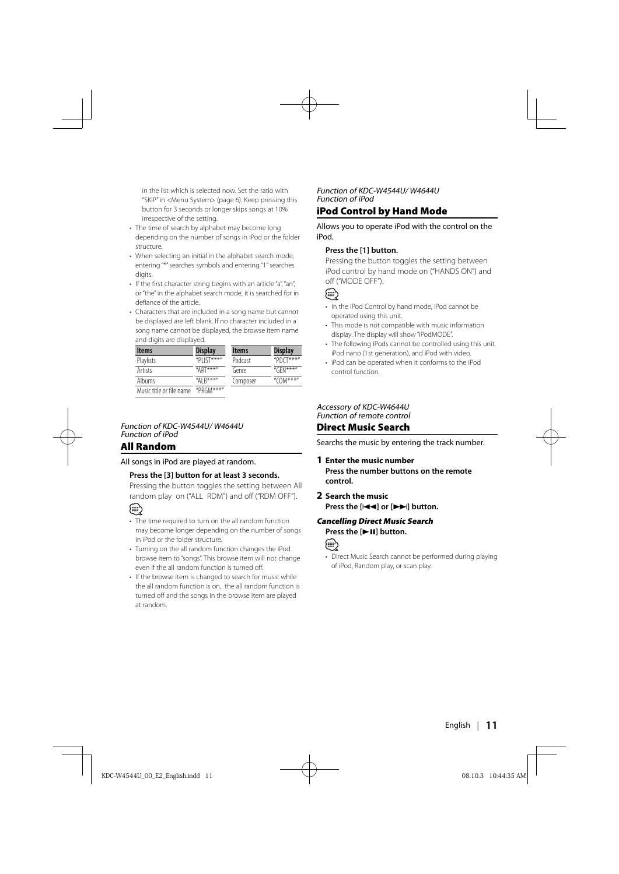in the list which is selected now. Set the ratio with "SKIP" in <Menu System> (page 6). Keep pressing this button for 3 seconds or longer skips songs at 10% irrespective of the setting.

- The time of search by alphabet may become long depending on the number of songs in iPod or the folder structure.
- When selecting an initial in the alphabet search mode, entering "\*" searches symbols and entering "1" searches digits.
- If the first character string begins with an article "a", "an", or "the" in the alphabet search mode, it is searched for in defiance of the article.
- Characters that are included in a song name but cannot be displayed are left blank. If no character included in a song name cannot be displayed, the browse item name and digits are displayed.

| <b>Items</b>             | <b>Display</b> | <b>Items</b> | <b>Display</b> |
|--------------------------|----------------|--------------|----------------|
| Playlists                | "PI IST***"    | Podcast      | "PDCT***"      |
| <b>Artists</b>           | " $APT***$ "   | Genre        | " $GEN***$ "   |
| Albums                   | "AI $R***$ "   | Composer     | " $COM***"$    |
| Music title or file name | "PRGM***"      |              |                |

Function of KDC-W4544U/ W4644U Function of iPod

#### **All Random**

All songs in iPod are played at random.

#### **Press the [3] button for at least 3 seconds.**

Pressing the button toggles the setting between All random play on ("ALL RDM") and off ("RDM OFF").



- The time required to turn on the all random function may become longer depending on the number of songs in iPod or the folder structure.
- Turning on the all random function changes the iPod browse item to "songs". This browse item will not change even if the all random function is turned off.
- If the browse item is changed to search for music while the all random function is on, the all random function is turned off and the songs in the browse item are played at random.

#### Function of KDC-W4544U/ W4644U Function of iPod

#### **iPod Control by Hand Mode**

Allows you to operate iPod with the control on the iPod.

#### **Press the [1] button.**

Pressing the button toggles the setting between iPod control by hand mode on ("HANDS ON") and off ("MODE OFF").

### {≡}

- In the iPod Control by hand mode, iPod cannot be operated using this unit.
- This mode is not compatible with music information display. The display will show "iPodMODE".
- The following iPods cannot be controlled using this unit. iPod nano (1st generation), and iPod with video.
- iPod can be operated when it conforms to the iPod control function.

#### Accessory of KDC-W4644U Function of remote control

#### **Direct Music Search**

Searchs the music by entering the track number.

#### **1 Enter the music number Press the number buttons on the remote control.**

#### **2 Search the music Press the [**4**] or [**¢**] button.**

#### **Cancelling Direct Music Search Press the [▶II] button.**



• Direct Music Search cannot be performed during playing of iPod, Random play, or scan play.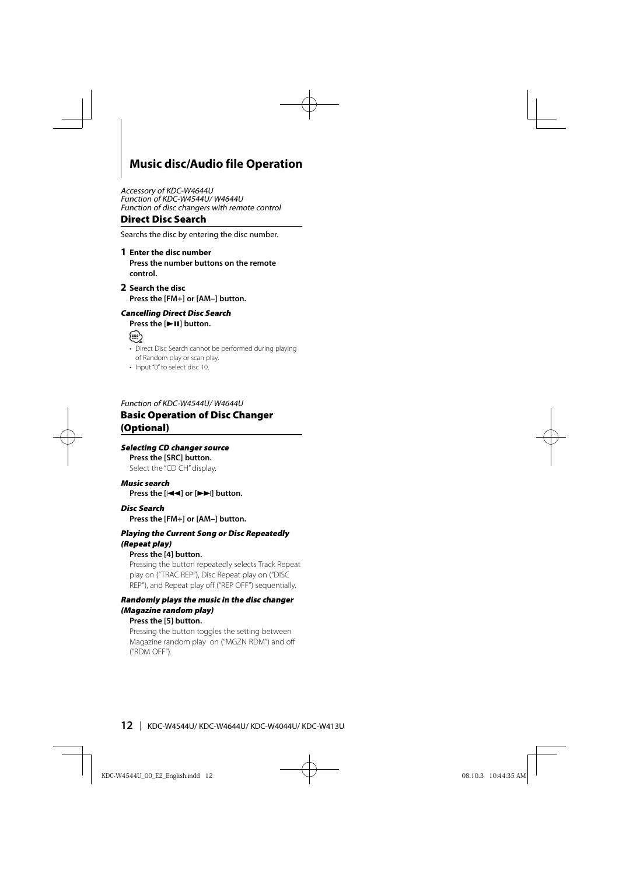# **Music disc/Audio file Operation**

Accessory of KDC-W4644U Function of KDC-W4544U/ W4644U Function of disc changers with remote control

#### **Direct Disc Search**

Searchs the disc by entering the disc number.

#### **1 Enter the disc number**

**Press the number buttons on the remote control.**

**2 Search the disc Press the [FM+] or [AM–] button.**

#### **Cancelling Direct Disc Search**

#### **Press the [▶II] button.**



- Direct Disc Search cannot be performed during playing of Random play or scan play.
- Input "0" to select disc 10.

#### Function of KDC-W4544U/ W4644U **Basic Operation of Disc Changer (Optional)**

#### **Selecting CD changer source**

**Press the [SRC] button.** Select the "CD CH" display.

#### **Music search**

**Press the [** $\leftarrow$ ] or  $\leftarrow$  $\rightarrow$ ] button.

#### **Disc Search**

**Press the [FM+] or [AM–] button.**

#### **Playing the Current Song or Disc Repeatedly (Repeat play)**

#### **Press the [4] button.**

Pressing the button repeatedly selects Track Repeat play on ("TRAC REP"), Disc Repeat play on ("DISC REP"), and Repeat play off ("REP OFF") sequentially.

#### **Randomly plays the music in the disc changer (Magazine random play)**

#### **Press the [5] button.**

Pressing the button toggles the setting between Magazine random play on ("MGZN RDM") and off ("RDM OFF").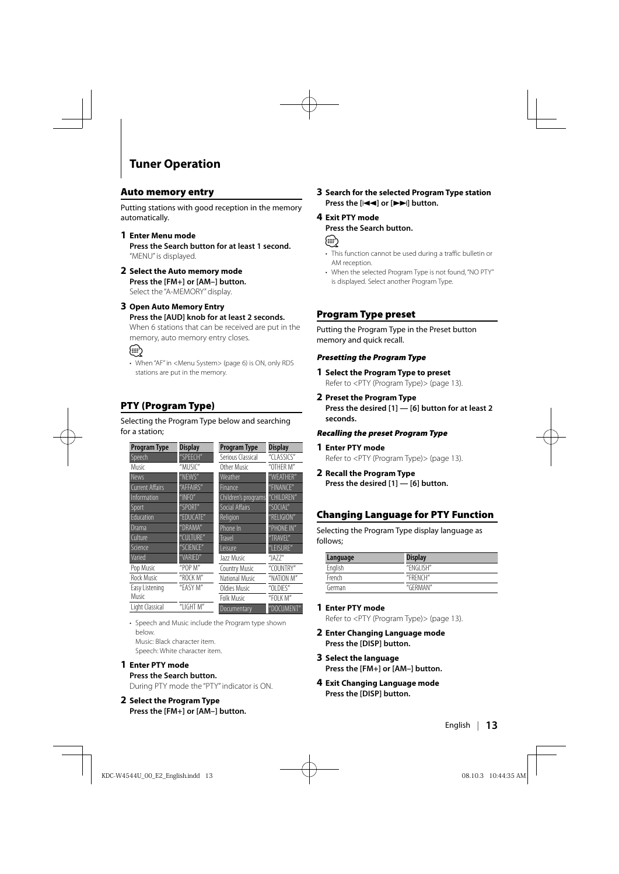# **Tuner Operation**

#### **Auto memory entry**

Putting stations with good reception in the memory automatically.

- **1 Enter Menu mode Press the Search button for at least 1 second.** "MENU" is displayed.
- **2 Select the Auto memory mode Press the [FM+] or [AM–] button.** Select the "A-MEMORY" display.

**3 Open Auto Memory Entry Press the [AUD] knob for at least 2 seconds.** When 6 stations that can be received are put in the memory, auto memory entry closes.

# (া⊟

• When "AF" in <Menu System> (page 6) is ON, only RDS stations are put in the memory.

### **PTY (Program Type)**

Selecting the Program Type below and searching for a station;

| <b>Program Type</b>    | <b>Display</b> | <b>Program Type</b>   | <b>Display</b> |
|------------------------|----------------|-----------------------|----------------|
| Speech                 | "SPEECH"       | Serious Classical     | "CLASSICS"     |
| Music                  | "MUSIC"        | Other Music           | "OTHER M"      |
| <b>News</b>            | "NFWS"         | Weather               | "WEATHER"      |
| <b>Current Affairs</b> | "AFFAIRS"      | Finance               | "FINANCF"      |
| Information            | "INFO"         | Children's programs   | "CHILDREN"     |
| <b>Sport</b>           | "SPORT"        | <b>Social Affairs</b> | "SOCIAL"       |
| Education              | "EDUCATE"      | Religion              | "RELIGION"     |
| Drama                  | "DRAMA"        | Phone In              | "PHONE IN"     |
| Culture                | "CULTURE"      | <b>Travel</b>         | "TRAVFI"       |
| Science                | "SCIFNCF"      | Leisure               | "LEISURE"      |
| Varied                 | "VARIFD"       | Jazz Music            | "JA77"         |
| Pop Music              | "POP M"        | <b>Country Music</b>  | "COUNTRY"      |
| <b>Rock Music</b>      | "ROCK M"       | National Music        | "NATION M"     |
| Easy Listening         | "EASY M"       | Oldies Music          | "OI DIES"      |
| Music                  |                | Folk Music            | "FOI K M"      |
| Light Classical        | "I IGHT $M''$  | Documentary           | "DOCUMENT"     |

• Speech and Music include the Program type shown below.

Music: Black character item.

Speech: White character item.

#### **1 Enter PTY mode**

#### **Press the Search button.**

During PTY mode the "PTY" indicator is ON.

**2 Select the Program Type Press the [FM+] or [AM–] button.** **3 Search for the selected Program Type station Press the [** $\leftarrow$ ] or  $\leftarrow$ **)** button.

#### **4 Exit PTY mode Press the Search button.**

#### ∕**≘**

- This function cannot be used during a traffic bulletin or AM reception
- When the selected Program Type is not found, "NO PTY" is displayed. Select another Program Type.

### **Program Type preset**

Putting the Program Type in the Preset button memory and quick recall.

#### **Presetting the Program Type**

- **1 Select the Program Type to preset** Refer to <PTY (Program Type)> (page 13).
- **2 Preset the Program Type Press the desired [1] — [6] button for at least 2 seconds.**

#### **Recalling the preset Program Type**

- **1 Enter PTY mode** Refer to <PTY (Program Type)> (page 13).
- **2 Recall the Program Type Press the desired [1] — [6] button.**

#### **Changing Language for PTY Function**

Selecting the Program Type display language as follows;

| Language | <b>Display</b> |
|----------|----------------|
| English  | "FNGI ISH"     |
| French   | "FRENCH"       |
| German   | "GFRMAN"       |

#### **1 Enter PTY mode**

Refer to <PTY (Program Type)> (page 13).

- **2 Enter Changing Language mode Press the [DISP] button.**
- **3 Select the language Press the [FM+] or [AM–] button.**
- **4 Exit Changing Language mode Press the [DISP] button.**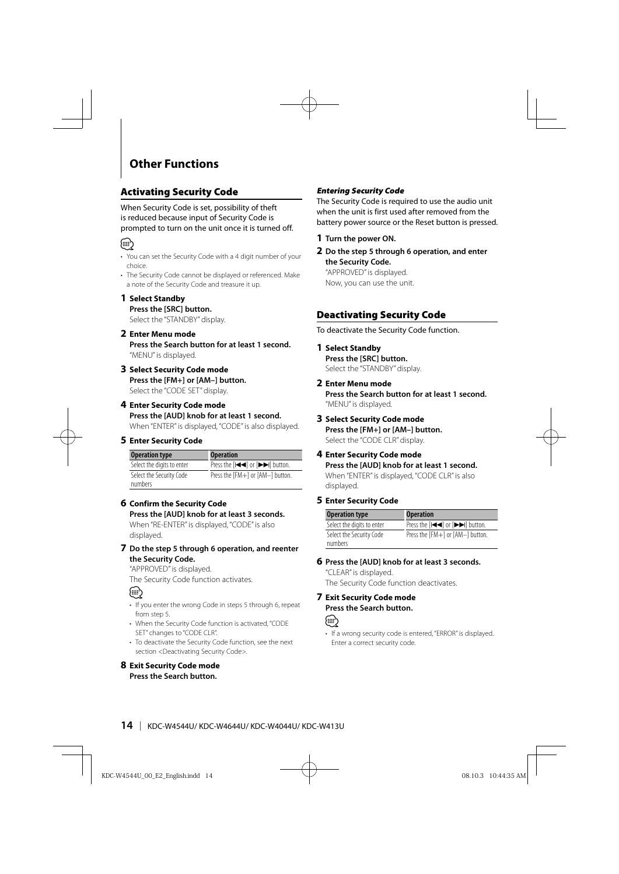# **Other Functions**

### **Activating Security Code**

When Security Code is set, possibility of theft is reduced because input of Security Code is prompted to turn on the unit once it is turned off.



- You can set the Security Code with a 4 digit number of your choice.
- The Security Code cannot be displayed or referenced. Make a note of the Security Code and treasure it up.

#### **1 Select Standby**

#### **Press the [SRC] button.**

Select the "STANDBY" display.

**2 Enter Menu mode**

**Press the Search button for at least 1 second.** "MENU" is displayed.

**3 Select Security Code mode Press the [FM+] or [AM–] button.** Select the "CODE SET" display.

#### **4 Enter Security Code mode Press the [AUD] knob for at least 1 second.** When "ENTER" is displayed, "CODE" is also displayed.

#### **5 Enter Security Code**

| <b>Operation type</b>               | <b>Operation</b>                     |
|-------------------------------------|--------------------------------------|
| Select the digits to enter          | Press the [IIII] or [IIIIII] button. |
| Select the Security Code<br>numbers | Press the [FM+] or [AM-] button.     |

#### **6 Confirm the Security Code**

**Press the [AUD] knob for at least 3 seconds.** When "RE-ENTER" is displayed, "CODE" is also displayed.

#### **7 Do the step 5 through 6 operation, and reenter the Security Code.**

"APPROVED" is displayed.

The Security Code function activates.

# {≡}

- If you enter the wrong Code in steps 5 through 6, repeat from step 5.
- When the Security Code function is activated, "CODE SET" changes to "CODE CLR".
- To deactivate the Security Code function, see the next section <Deactivating Security Code>.

# **8 Exit Security Code mode**

#### **Press the Search button.**

#### **Entering Security Code**

The Security Code is required to use the audio unit when the unit is first used after removed from the battery power source or the Reset button is pressed.

- **1 Turn the power ON.**
- **2 Do the step 5 through 6 operation, and enter the Security Code.**

"APPROVED" is displayed. Now, you can use the unit.

#### **Deactivating Security Code**

To deactivate the Security Code function.

#### **1 Select Standby**

**Press the [SRC] button.** Select the "STANDBY" display.

## **2 Enter Menu mode**

**Press the Search button for at least 1 second.** "MENU" is displayed.

#### **3 Select Security Code mode**

**Press the [FM+] or [AM–] button.** Select the "CODE CLR" display.

#### **4 Enter Security Code mode**

**Press the [AUD] knob for at least 1 second.** When "ENTER" is displayed, "CODE CLR" is also displayed.

#### **5 Enter Security Code**

| <b>Operation type</b>               | <b>Operation</b>                    |
|-------------------------------------|-------------------------------------|
| Select the digits to enter          | Press the [IIII] or [IIIII] button. |
| Select the Security Code<br>numbers | Press the [FM+] or [AM-] button.    |

#### **6 Press the [AUD] knob for at least 3 seconds.**

"CLEAR" is displayed. The Security Code function deactivates.

#### **7 Exit Security Code mode Press the Search button.**



• If a wrong security code is entered, "ERROR" is displayed. Enter a correct security code.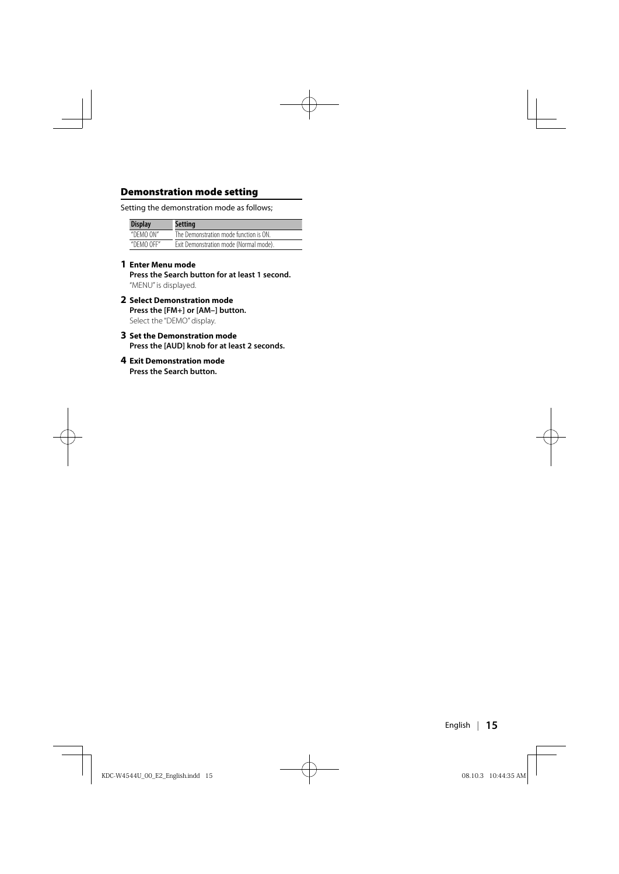#### **Demonstration mode setting**

Setting the demonstration mode as follows;

| <b>Display</b> | <b>Setting</b>                         |
|----------------|----------------------------------------|
| "DEMO ON"      | The Demonstration mode function is ON. |
| "DEMO OFF"     | Exit Demonstration mode (Normal mode). |

#### **1 Enter Menu mode**

**Press the Search button for at least 1 second.** "MENU" is displayed.

- **2 Select Demonstration mode Press the [FM+] or [AM–] button.** Select the "DEMO" display.
- **3 Set the Demonstration mode Press the [AUD] knob for at least 2 seconds.**
- **4 Exit Demonstration mode Press the Search button.**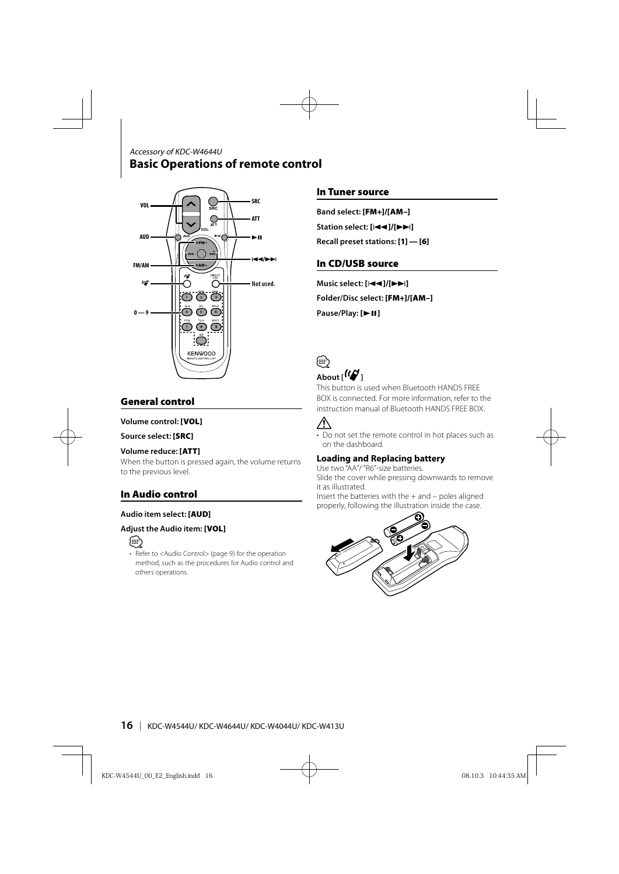### **Basic Operations of remote control** Accessory of KDC-W4644U



### **General control**

#### **Volume control: [VOL]**

#### **Source select: [SRC]**

#### **Volume reduce: [ATT]**

When the button is pressed again, the volume returns to the previous level.

#### **In Audio control**

#### **Audio item select: [AUD]**

#### **Adjust the Audio item: [VOL]**



• Refer to <Audio Control> (page 9) for the operation method, such as the procedures for Audio control and others operations.

#### **In Tuner source**

**Band select: [FM+]/[AM–] Station select: [**4**]/[**¢**]**

**Recall preset stations: [1] — [6]**

#### **In CD/USB source**

**Music select: [**4**]/[**¢**] Folder/Disc select: [FM+]/[AM–] Pause/Play: [▶ 11]** 



# About  $\left[\frac{1}{2}\right]$

This button is used when Bluetooth HANDS FREE BOX is connected. For more information, refer to the instruction manual of Bluetooth HANDS FREE BOX.



• Do not set the remote control in hot places such as on the dashboard.

#### **Loading and Replacing battery**

Use two "AA"/ "R6"-size batteries. Slide the cover while pressing downwards to remove it as illustrated.

Insert the batteries with the  $+$  and  $-$  poles aligned properly, following the illustration inside the case.

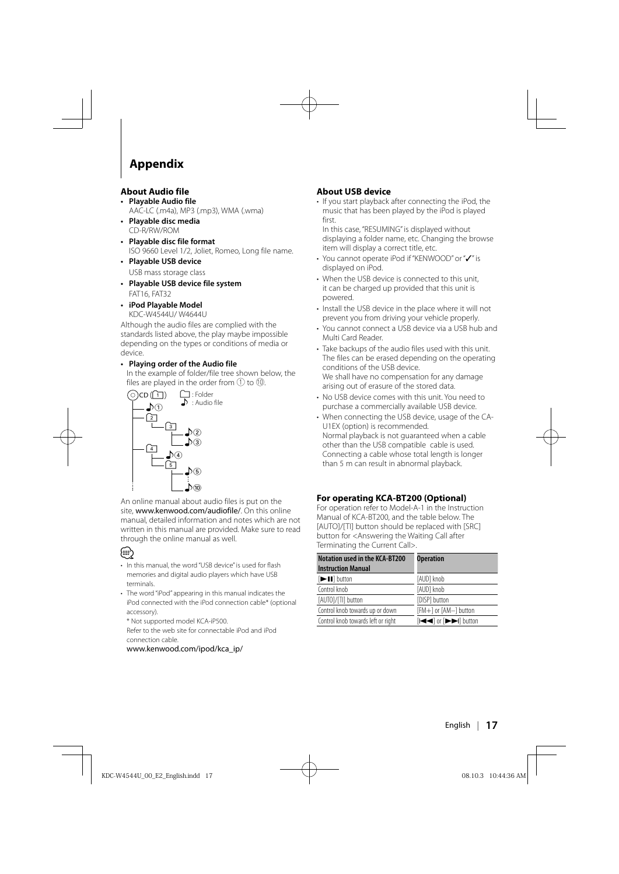# **Appendix**

#### **About Audio file**

- **Playable Audio file** AAC-LC (.m4a), MP3 (.mp3), WMA (.wma)
- **Playable disc media** CD-R/RW/ROM
- **Playable disc file format** ISO 9660 Level 1/2, Joliet, Romeo, Long file name.
- **Playable USB device**  USB mass storage class
- **Playable USB device file system** FAT16, FAT32
- **iPod Playable Model** KDC-W4544U/ W4644U

Although the audio files are complied with the standards listed above, the play maybe impossible depending on the types or conditions of media or device.

#### **• Playing order of the Audio file**

 In the example of folder/file tree shown below, the files are played in the order from  $(1)$  to  $(0)$ .



An online manual about audio files is put on the site, www.kenwood.com/audiofile/. On this online manual, detailed information and notes which are not written in this manual are provided. Make sure to read through the online manual as well.

# ⁄⊞)

- In this manual, the word "USB device" is used for flash memories and digital audio players which have USB terminals.
- The word "iPod" appearing in this manual indicates the iPod connected with the iPod connection cable\* (optional accessory).

\* Not supported model KCA-iP500.

 Refer to the web site for connectable iPod and iPod connection cable.

www.kenwood.com/ipod/kca\_ip/

#### **About USB device**

• If you start playback after connecting the iPod, the music that has been played by the iPod is played first.

In this case, "RESUMING" is displayed without displaying a folder name, etc. Changing the browse item will display a correct title, etc.

- You cannot operate iPod if "KENWOOD" or "✓" is displayed on iPod.
- When the USB device is connected to this unit, it can be charged up provided that this unit is powered.
- Install the USB device in the place where it will not prevent you from driving your vehicle properly.
- You cannot connect a USB device via a USB hub and Multi Card Reader.
- Take backups of the audio files used with this unit. The files can be erased depending on the operating conditions of the USB device. We shall have no compensation for any damage arising out of erasure of the stored data.
- No USB device comes with this unit. You need to purchase a commercially available USB device.
- When connecting the USB device, usage of the CA-U1EX (option) is recommended. Normal playback is not guaranteed when a cable other than the USB compatible cable is used. Connecting a cable whose total length is longer than 5 m can result in abnormal playback.

#### **For operating KCA-BT200 (Optional)**

For operation refer to Model-A-1 in the Instruction Manual of KCA-BT200, and the table below. The [AUTO]/[TI] button should be replaced with [SRC] button for <Answering the Waiting Call after Terminating the Current Call>.

| <b>Notation used in the KCA-BT200</b><br><b>Instruction Manual</b> | <b>Operation</b>                                                                                                 |
|--------------------------------------------------------------------|------------------------------------------------------------------------------------------------------------------|
| [>II] button                                                       | [AUD] knob                                                                                                       |
| Control knob                                                       | [AUD] knob                                                                                                       |
| [AUTO]/[TI] button                                                 | [DISP] button                                                                                                    |
| Control knob towards up or down                                    | [FM+] or [AM-] button                                                                                            |
| Control knob towards left or right                                 | $[$ $\blacktriangleleft$ $\blacktriangleleft$ or $[$ $\blacktriangleright$ $\blacktriangleright$ $\dashv$ button |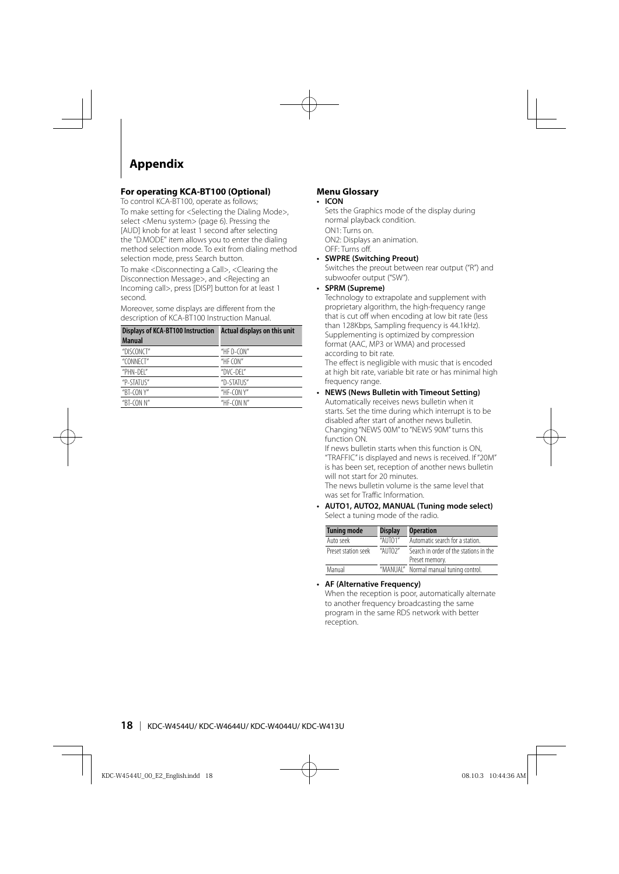# **Appendix**

#### **For operating KCA-BT100 (Optional)**

To control KCA-BT100, operate as follows;

To make setting for <Selecting the Dialing Mode>, select <Menu system> (page 6). Pressing the [AUD] knob for at least 1 second after selecting the "D.MODE" item allows you to enter the dialing method selection mode. To exit from dialing method selection mode, press Search button.

To make <Disconnecting a Call>, <Clearing the Disconnection Message>, and <Rejecting an Incoming call>, press [DISP] button for at least 1 second.

Moreover, some displays are different from the description of KCA-BT100 Instruction Manual.

| <b>Displays of KCA-BT100 Instruction</b> | <b>Actual displays on this unit</b> |
|------------------------------------------|-------------------------------------|
| <b>Manual</b>                            |                                     |
| "DISCONCT"                               | "HE $D$ -CON"                       |
| "CONNECT"                                | "HF $COM"$                          |
| "PHN-DFI"                                | "DVC-DFI"                           |
| "P-STATUS"                               | "D-STATUS"                          |
| "BT-CON $Y''$                            | "HF-CON $Y''$                       |
| "BT-CON $N''$                            | "HF- $CON N$ "                      |

#### **Menu Glossary**

#### **• ICON**

 Sets the Graphics mode of the display during normal playback condition. ON1: Turns on. ON2: Displays an animation.

OFF: Turns off.

**• SWPRE (Switching Preout)**

 Switches the preout between rear output ("R") and subwoofer output ("SW").

**• SPRM (Supreme)**

 Technology to extrapolate and supplement with proprietary algorithm, the high-frequency range that is cut off when encoding at low bit rate (less than 128Kbps, Sampling frequency is 44.1kHz). Supplementing is optimized by compression format (AAC, MP3 or WMA) and processed according to bit rate.

The effect is negligible with music that is encoded at high bit rate, variable bit rate or has minimal high frequency range.

#### **• NEWS (News Bulletin with Timeout Setting)** Automatically receives news bulletin when it starts. Set the time during which interrupt is to be disabled after start of another news bulletin. Changing "NEWS 00M" to "NEWS 90M" turns this function ON.

If news bulletin starts when this function is ON, "TRAFFIC" is displayed and news is received. If "20M" is has been set, reception of another news bulletin will not start for 20 minutes.

The news bulletin volume is the same level that was set for Traffic Information.

**• AUTO1, AUTO2, MANUAL (Tuning mode select)** Select a tuning mode of the radio.

| <b>Tuning mode</b>  | <b>Display</b> | <b>Operation</b>                                         |
|---------------------|----------------|----------------------------------------------------------|
| Auto seek           | "AUTO1"        | Automatic search for a station.                          |
| Preset station seek | "ALITO?"       | Search in order of the stations in the<br>Preset memory. |
| Manual              |                | "MANUAL" Normal manual tuning control.                   |

#### **• AF (Alternative Frequency)**

 When the reception is poor, automatically alternate to another frequency broadcasting the same program in the same RDS network with better reception.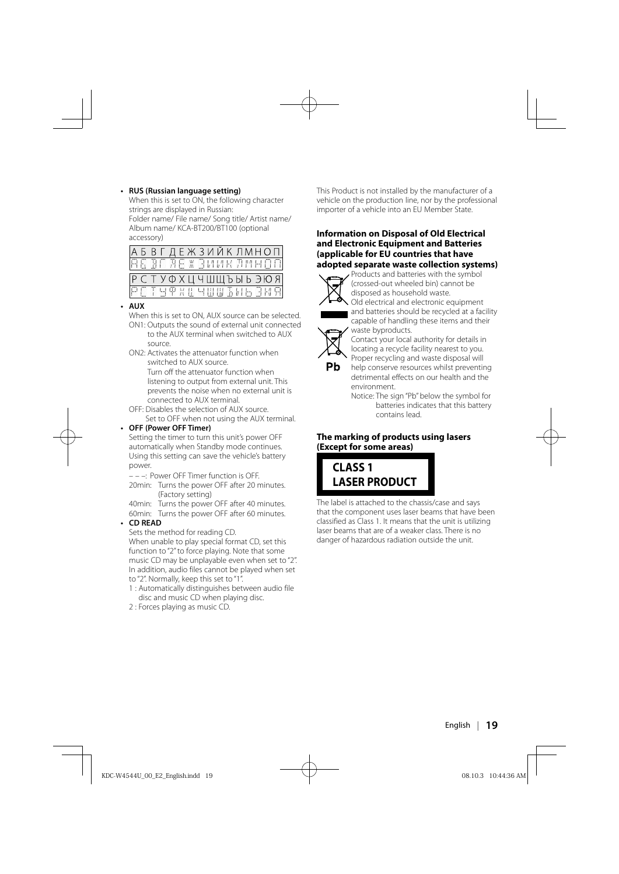#### **• RUS (Russian language setting)**

 When this is set to ON, the following character strings are displayed in Russian: Folder name/ File name/ Song title/ Artist name/ Album name/ KCA-BT200/BT100 (optional accessory)

|              |  |  | АБВГДЕЖЗИЙКЛМНОП       |  |  |  |  |  |
|--------------|--|--|------------------------|--|--|--|--|--|
|              |  |  | RG BE AE X BIANK AMHOO |  |  |  |  |  |
|              |  |  |                        |  |  |  |  |  |
| <b>BCTBT</b> |  |  | РСТУФХЦЧШЩЪЫЬЭЮЯ       |  |  |  |  |  |

#### **• AUX**

 When this is set to ON, AUX source can be selected. ON1: Outputs the sound of external unit connected

to the AUX terminal when switched to AUX source.

 ON2: Activates the attenuator function when switched to AUX source. Turn off the attenuator function when listening to output from external unit. This prevents the noise when no external unit is

connected to AUX terminal. OFF: Disables the selection of AUX source.

Set to OFF when not using the AUX terminal.

#### **• OFF (Power OFF Timer)**

 Setting the timer to turn this unit's power OFF automatically when Standby mode continues. Using this setting can save the vehicle's battery power.

– – –: Power OFF Timer function is OFF.

 20min: Turns the power OFF after 20 minutes. (Factory setting)

 40min: Turns the power OFF after 40 minutes. 60min: Turns the power OFF after 60 minutes.

#### **• CD READ**

Sets the method for reading CD.

When unable to play special format CD, set this function to "2" to force playing. Note that some music CD may be unplayable even when set to "2". In addition, audio files cannot be played when set to "2". Normally, keep this set to "1".

- 1 : Automatically distinguishes between audio file disc and music CD when playing disc.
- 2 : Forces playing as music CD.

This Product is not installed by the manufacturer of a vehicle on the production line, nor by the professional importer of a vehicle into an EU Member State.

#### **Information on Disposal of Old Electrical and Electronic Equipment and Batteries (applicable for EU countries that have adopted separate waste collection systems)**



 Products and batteries with the symbol (crossed-out wheeled bin) cannot be disposed as household waste.

Old electrical and electronic equipment and batteries should be recycled at a facility capable of handling these items and their waste byproducts.



Contact your local authority for details in locating a recycle facility nearest to you. Proper recycling and waste disposal will

help conserve resources whilst preventing detrimental effects on our health and the environment.

Notice: The sign "Pb" below the symbol for batteries indicates that this battery contains lead.

#### **The marking of products using lasers (Except for some areas)**



The label is attached to the chassis/case and says that the component uses laser beams that have been classified as Class 1. It means that the unit is utilizing laser beams that are of a weaker class. There is no danger of hazardous radiation outside the unit.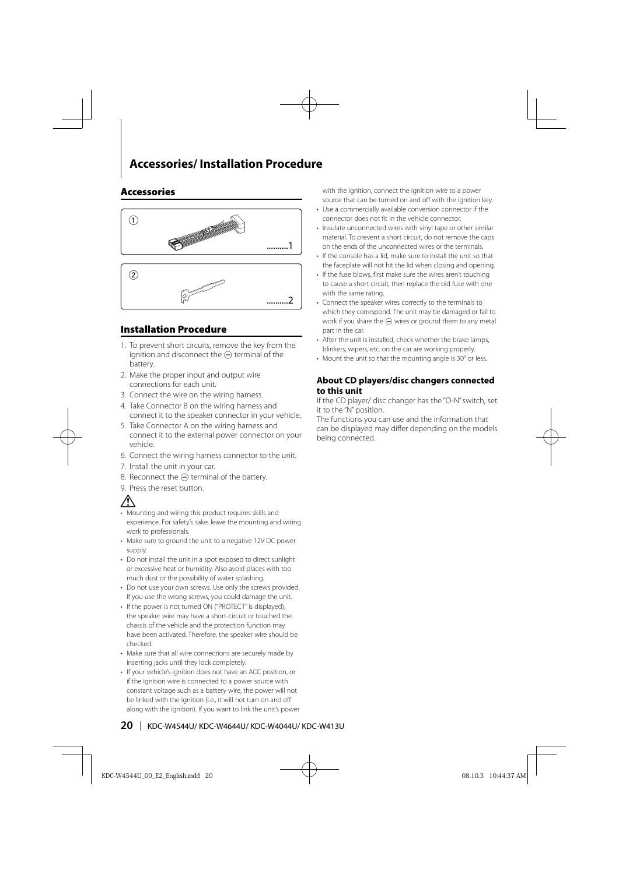# **Accessories/ Installation Procedure**

#### **Accessories**



#### **Installation Procedure**

- 1. To prevent short circuits, remove the key from the ignition and disconnect the  $\ominus$  terminal of the battery.
- 2. Make the proper input and output wire connections for each unit.
- 3. Connect the wire on the wiring harness.
- 4. Take Connector B on the wiring harness and connect it to the speaker connector in your vehicle.
- 5. Take Connector A on the wiring harness and connect it to the external power connector on your vehicle.
- 6. Connect the wiring harness connector to the unit.
- 7. Install the unit in your car.
- 8. Reconnect the  $\ominus$  terminal of the battery.
- 9. Press the reset button.

# ∕r

- Mounting and wiring this product requires skills and experience. For safety's sake, leave the mounting and wiring work to professionals.
- Make sure to ground the unit to a negative 12V DC power supply
- Do not install the unit in a spot exposed to direct sunlight or excessive heat or humidity. Also avoid places with too much dust or the possibility of water splashing.
- Do not use your own screws. Use only the screws provided. If you use the wrong screws, you could damage the unit.
- If the power is not turned ON ("PROTECT" is displayed), the speaker wire may have a short-circuit or touched the chassis of the vehicle and the protection function may have been activated. Therefore, the speaker wire should be checked.
- Make sure that all wire connections are securely made by inserting jacks until they lock completely.
- If your vehicle's ignition does not have an ACC position, or if the ignition wire is connected to a power source with constant voltage such as a battery wire, the power will not be linked with the ignition (i.e., it will not turn on and off along with the ignition). If you want to link the unit's power

with the ignition, connect the ignition wire to a power source that can be turned on and off with the ignition key.

- Use a commercially available conversion connector if the connector does not fit in the vehicle connector.
- Insulate unconnected wires with vinyl tape or other similar material. To prevent a short circuit, do not remove the caps on the ends of the unconnected wires or the terminals.
- If the console has a lid, make sure to install the unit so that the faceplate will not hit the lid when closing and opening.
- If the fuse blows, first make sure the wires aren't touching to cause a short circuit, then replace the old fuse with one with the same rating.
- Connect the speaker wires correctly to the terminals to which they correspond. The unit may be damaged or fail to work if you share the  $\ominus$  wires or ground them to any metal part in the car.
- After the unit is installed, check whether the brake lamps, blinkers, wipers, etc. on the car are working properly.
- Mount the unit so that the mounting angle is 30° or less.

#### **About CD players/disc changers connected to this unit**

If the CD player/ disc changer has the "O-N" switch, set it to the "N" position.

The functions you can use and the information that can be displayed may differ depending on the models being connected.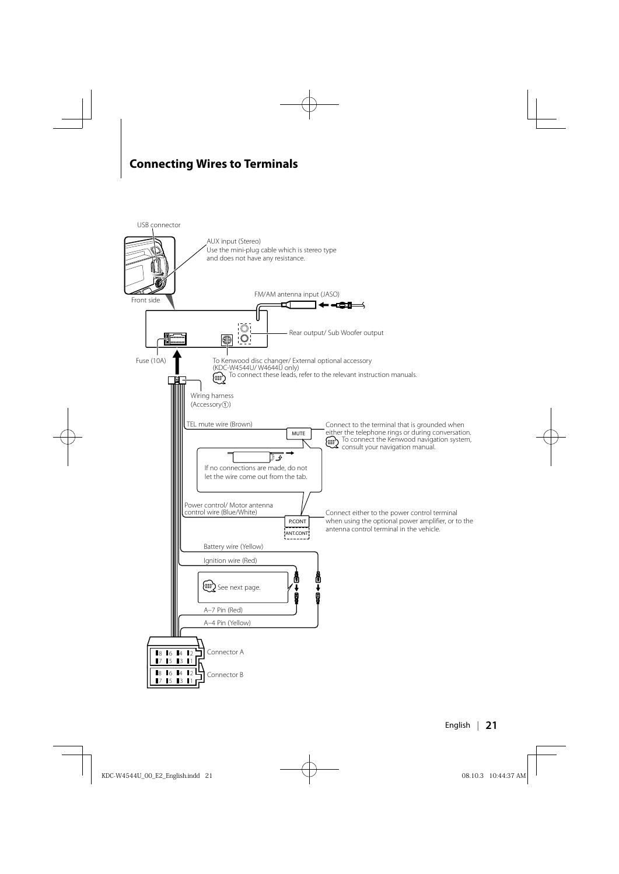# **Connecting Wires to Terminals**

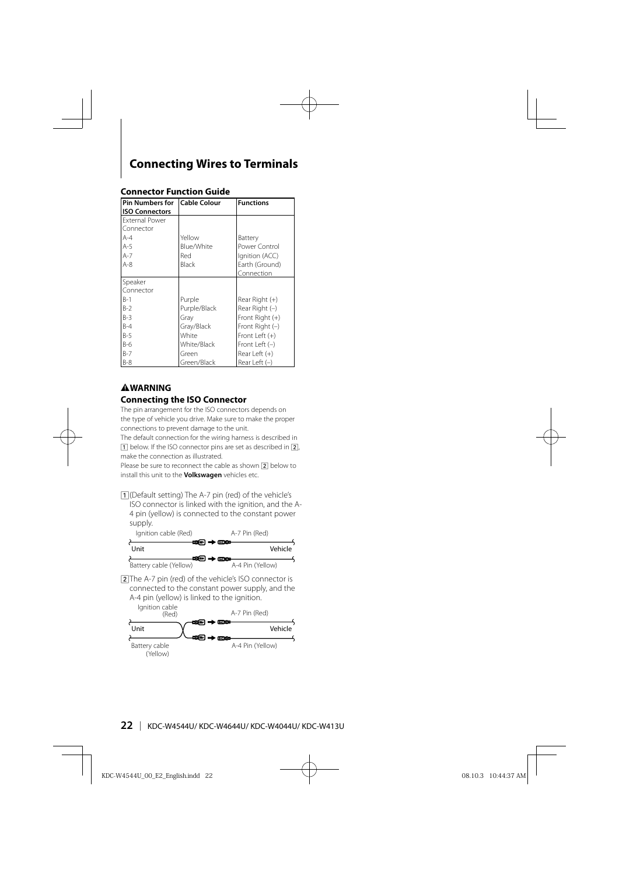# **Connecting Wires to Terminals**

| Pin Numbers for       | Cable Colour | <b>Functions</b>  |
|-----------------------|--------------|-------------------|
| <b>ISO Connectors</b> |              |                   |
| <b>External Power</b> |              |                   |
| Connector             |              |                   |
| $A-4$                 | Yellow       | Battery           |
| $A-5$                 | Blue/White   | Power Control     |
| $A-7$                 | Red          | Ignition (ACC)    |
| $A-8$                 | Black        | Earth (Ground)    |
|                       |              | Connection        |
| Speaker               |              |                   |
| Connector             |              |                   |
| $B-1$                 | Purple       | Rear Right (+)    |
| $B-2$                 | Purple/Black | Rear Right $(-)$  |
| $B-3$                 | Gray         | Front Right $(+)$ |
| $B-4$                 | Gray/Black   | Front Right $(-)$ |
| $B-5$                 | White        | Front Left $(+)$  |
| $B-6$                 | White/Black  | Front Left $(-)$  |
| $B-7$                 | Green        | Rear Left $(+)$   |
| $B-8$                 | Green/Black  | Rear Left $(-)$   |

#### **Connector Function Guide**

#### 2**WARNING Connecting the ISO Connector**

The pin arrangement for the ISO connectors depends on the type of vehicle you drive. Make sure to make the proper connections to prevent damage to the unit.

The default connection for the wiring harness is described in 11 below. If the ISO connector pins are set as described in [2], make the connection as illustrated.

Please be sure to reconnect the cable as shown  $\boxed{2}$  below to install this unit to the **Volkswagen** vehicles etc.

11 (Default setting) The A-7 pin (red) of the vehicle's ISO connector is linked with the ignition, and the A-4 pin (yellow) is connected to the constant power supply.



2 The A-7 pin (red) of the vehicle's ISO connector is connected to the constant power supply, and the A-4 pin (yellow) is linked to the ignition.

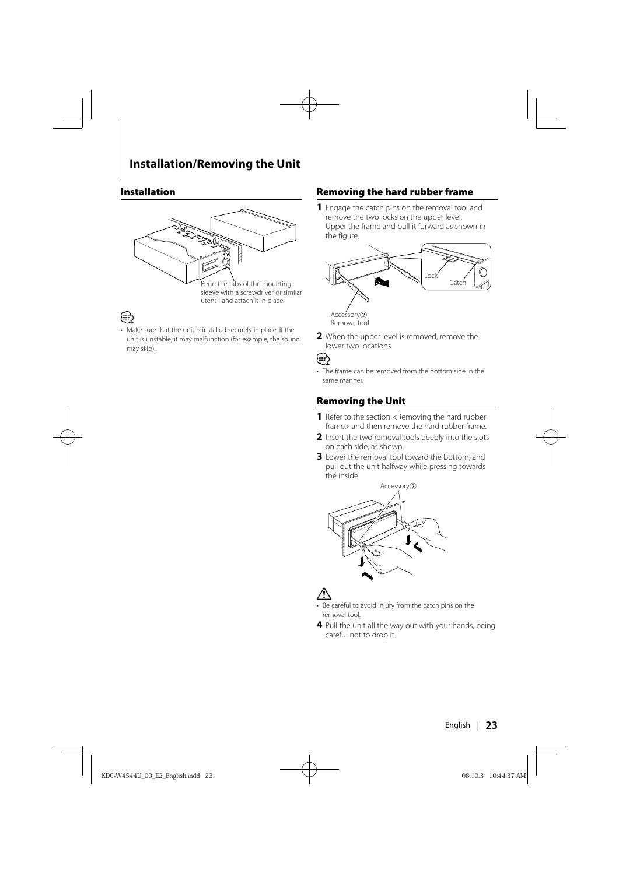#### **Installation**



sleeve with a screwdriver or similar utensil and attach it in place.

# ⁄

• Make sure that the unit is installed securely in place. If the unit is unstable, it may malfunction (for example, the sound may skip).

#### **Removing the hard rubber frame**

**1** Engage the catch pins on the removal tool and remove the two locks on the upper level. Upper the frame and pull it forward as shown in the figure.



**2** When the upper level is removed, remove the lower two locations.

{≕}

• The frame can be removed from the bottom side in the same manner.

#### **Removing the Unit**

- **1** Refer to the section <Removing the hard rubber frame> and then remove the hard rubber frame.
- **2** Insert the two removal tools deeply into the slots on each side, as shown.
- **3** Lower the removal tool toward the bottom, and pull out the unit halfway while pressing towards the inside.



# $\mathbb A$

- Be careful to avoid injury from the catch pins on the removal tool.
- **4** Pull the unit all the way out with your hands, being careful not to drop it.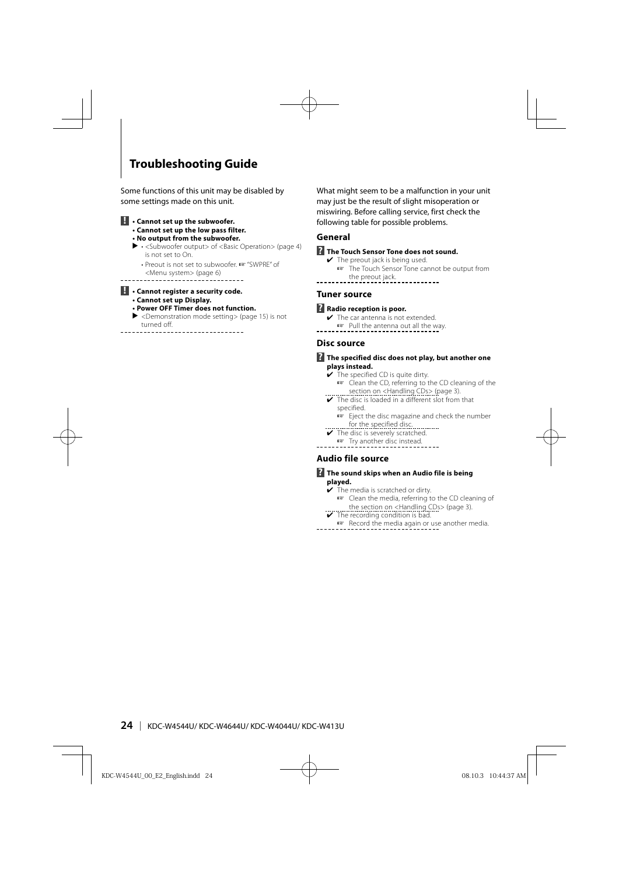# **Troubleshooting Guide**

Some functions of this unit may be disabled by some settings made on this unit.

- **! Cannot set up the subwoofer. • Cannot set up the low pass filter.**
	- **No output from the subwoofer.**
	-
	- $\blacktriangleright$   $\cdot$  <Subwoofer output> of <Basic Operation> (page 4) is not set to On.
- Preout is not set to subwoofer. ☞ "SWPRE" of <Menu system> (page 6)

#### **! • Cannot register a security code.**

- **Cannot set up Display.**
- **Power OFF Timer does not function.**
- $\blacktriangleright$  <Demonstration mode setting> (page 15) is not turned off.
- ----------------

What might seem to be a malfunction in your unit may just be the result of slight misoperation or miswiring. Before calling service, first check the following table for possible problems.

#### **General**

#### $\blacksquare$  The Touch Sensor Tone does not sound.

 $\checkmark$  The preout jack is being used. ☞ The Touch Sensor Tone cannot be output from the preout jack. <u>. . . . . . . . . .</u>

#### **Tuner source**

#### **R** Radio reception is poor.

- $\blacktriangleright$  The car antenna is not extended.
- ■■ Pull the antenna out all the way.
	-

#### **Disc source**

- **? The specified disc does not play, but another one plays instead.**
	- $\overline{\smash{\checkmark}}$  The specified CD is quite dirty.
		- ☞ Clean the CD, referring to the CD cleaning of the section on <Handling CDs> (page 3).
	- ✔ The disc is loaded in a different slot from that specified.
		- ☞ Eject the disc magazine and check the number for the specified disc.
	- ✔ The disc is severely scratched.
	- ☞ Try another disc instead.
- $- -$

#### **Audio file source**

#### **? The sound skips when an Audio file is being played.**

- $\overline{\smash{\checkmark}}$  The media is scratched or dirty.
- ☞ Clean the media, referring to the CD cleaning of **■ the section on <Handling CDs>** (page 3).<br>► The recording condition is bad.
- 
- <sup>■</sup> Record the media again or use another media.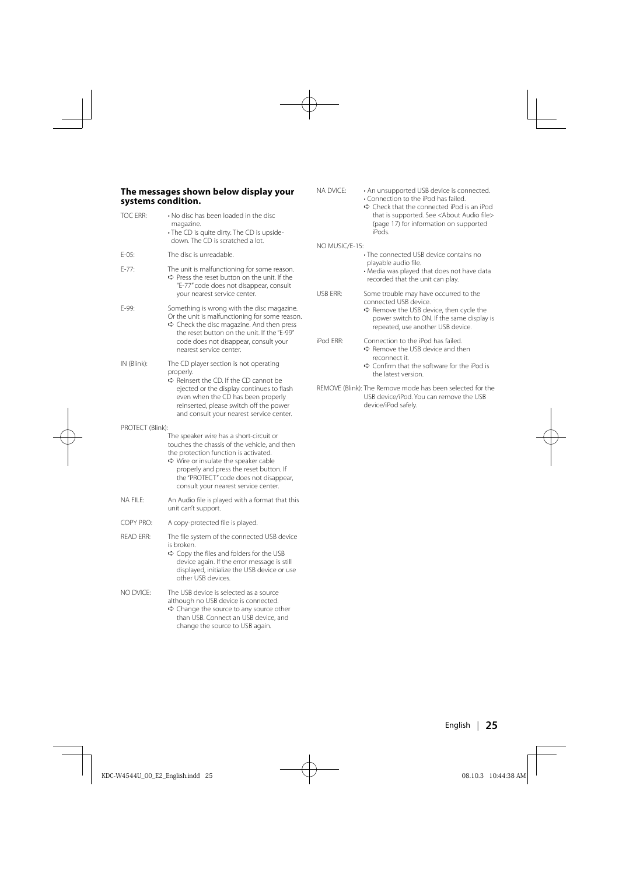#### **The messages shown below display your systems condition.**

| TOC ERR:         | • No disc has been loaded in the disc<br>magazine.<br>· The CD is quite dirty. The CD is upside-<br>down. The CD is scratched a lot.                                                                                                                                                                  |
|------------------|-------------------------------------------------------------------------------------------------------------------------------------------------------------------------------------------------------------------------------------------------------------------------------------------------------|
| $E-05:$          | The disc is unreadable.                                                                                                                                                                                                                                                                               |
| $F - 77:$        | The unit is malfunctioning for some reason.<br>→ Press the reset button on the unit. If the<br>"E-77" code does not disappear, consult<br>your nearest service center.                                                                                                                                |
| E-99:            | Something is wrong with the disc magazine.<br>Or the unit is malfunctioning for some reason.<br>→ Check the disc magazine. And then press<br>the reset button on the unit. If the "E-99"<br>code does not disappear, consult your<br>nearest service center.                                          |
| IN (Blink):      | The CD player section is not operating<br>properly.<br>→ Reinsert the CD. If the CD cannot be<br>ejected or the display continues to flash<br>even when the CD has been properly<br>reinserted, please switch off the power<br>and consult your nearest service center.                               |
| PROTECT (Blink): | The speaker wire has a short-circuit or<br>touches the chassis of the vehicle, and then<br>the protection function is activated.<br>→ Wire or insulate the speaker cable<br>properly and press the reset button. If<br>the "PROTECT" code does not disappear,<br>consult your nearest service center. |
| NA FII F:        | An Audio file is played with a format that this<br>unit can't support.                                                                                                                                                                                                                                |
| COPY PRO:        | A copy-protected file is played.                                                                                                                                                                                                                                                                      |
| <b>READ ERR:</b> | The file system of the connected USB device<br>is broken.<br><> Copy the files and folders for the USB<br>device again. If the error message is still<br>displayed, initialize the USB device or use<br>other USB devices.                                                                            |
| NO DVICE:        | The USB device is selected as a source<br>although no USB device is connected.<br>→ Change the source to any source other<br>than USB. Connect an USB device, and<br>change the source to USB again.                                                                                                  |

| NA DVICE:      | • An unsupported USB device is connected.<br>• Connection to the iPod has failed.<br>→ Check that the connected iPod is an iPod<br>that is supported. See <about audio="" file=""><br/>(page 17) for information on supported<br/>iPods.</about> |
|----------------|--------------------------------------------------------------------------------------------------------------------------------------------------------------------------------------------------------------------------------------------------|
| NO MUSIC/F-15: |                                                                                                                                                                                                                                                  |
|                | • The connected USB device contains no<br>playable audio file.<br>• Media was played that does not have data<br>recorded that the unit can play.                                                                                                 |
| USB FRR:       | Some trouble may have occurred to the<br>connected USB device.<br>→ Remove the USB device, then cycle the<br>power switch to ON. If the same display is<br>repeated, use another USB device.                                                     |
| iPod FRR:      | Connection to the iPod has failed.<br>$\Rightarrow$ Remove the USB device and then<br>reconnect it.<br>→ Confirm that the software for the iPod is<br>the latest version.                                                                        |

REMOVE (Blink): The Remove mode has been selected for the USB device/iPod. You can remove the USB device/iPod safely.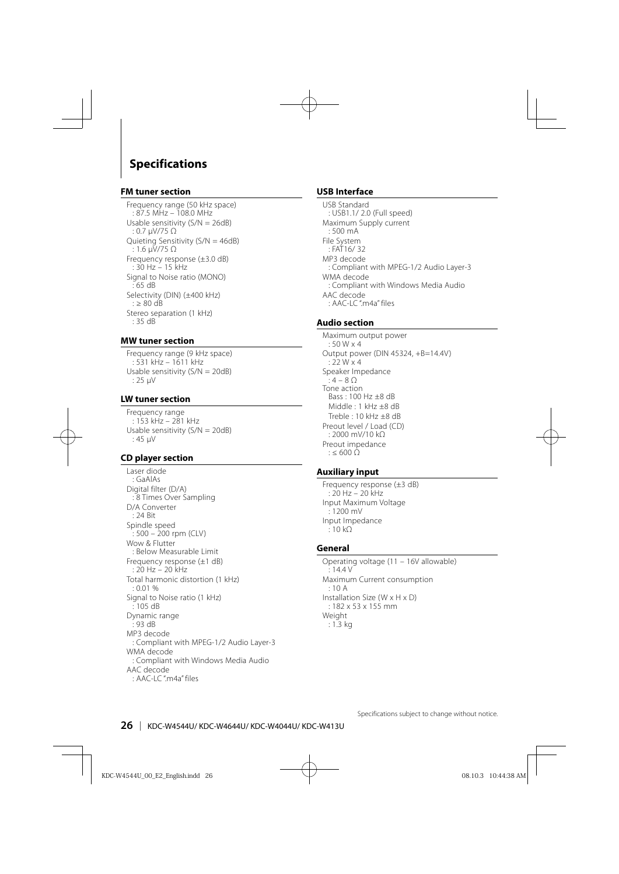# **Specifications**

#### **FM tuner section**

Frequency range (50 kHz space) : 87.5 MHz – 108.0 MHz Usable sensitivity (S/N = 26dB) : 0.7 μV/75 Ω Quieting Sensitivity (S/N = 46dB) : 1.6 μV/75 Ω Frequency response (±3.0 dB) : 30 Hz – 15 kHz Signal to Noise ratio (MONO) : 65 dB Selectivity (DIN) (±400 kHz) : ≥ 80 d $\overline{B}$ Stereo separation (1 kHz) : 35 dB

#### **MW tuner section**

Frequency range (9 kHz space) : 531 kHz – 1611 kHz Usable sensitivity (S/N = 20dB) : 25 μV

#### **LW tuner section**

Frequency range : 153 kHz – 281 kHz Usable sensitivity (S/N = 20dB) : 45 μV

#### **CD player section**

Laser diode : GaAlAs Digital filter (D/A) : 8 Times Over Sampling D/A Converter : 24 Bit Spindle speed : 500 – 200 rpm (CLV) Wow & Flutter : Below Measurable Limit Frequency response (±1 dB)  $\cdot$  20 Hz – 20 kHz Total harmonic distortion (1 kHz) : 0.01 % Signal to Noise ratio (1 kHz) : 105 dB Dynamic range  $\frac{2}{3}$  93 dB MP3 decode : Compliant with MPEG-1/2 Audio Layer-3 WMA decode : Compliant with Windows Media Audio AAC decode  $\cdot$  AAC-LC "m4a" files

#### **USB Interface**

USB Standard : USB1.1/ 2.0 (Full speed) Maximum Supply current : 500 mA File System : FAT16/ 32 MP3 decode : Compliant with MPEG-1/2 Audio Layer-3 WMA decode : Compliant with Windows Media Audio AAC decode  $\cdot$  AAC-LC "m4a" files

#### **Audio section**

Maximum output power : 50 W x 4 Output power (DIN 45324, +B=14.4V) : 22 W x 4 Speaker Impedance :  $4 - 8$   $\Omega$ Tone action Bass : 100 Hz ±8 dB Middle: 1 kHz +8 dB Treble :  $10$  kHz  $+8$  dB Preout level / Load (CD) : 2000 mV/10 kΩ Preout impedance  $\cdot$  < 600  $\bigcirc$ 

#### **Auxiliary input**

Frequency response (±3 dB) : 20 Hz – 20 kHz Input Maximum Voltage  $: 1200 \text{ mV}$ Input Impedance : 10 kΩ

#### **General**

Operating voltage (11 – 16V allowable)  $\cdot$  14.4 V Maximum Current consumption : 10 A Installation Size (W x H x D) : 182 x 53 x 155 mm Weight : 1.3 kg